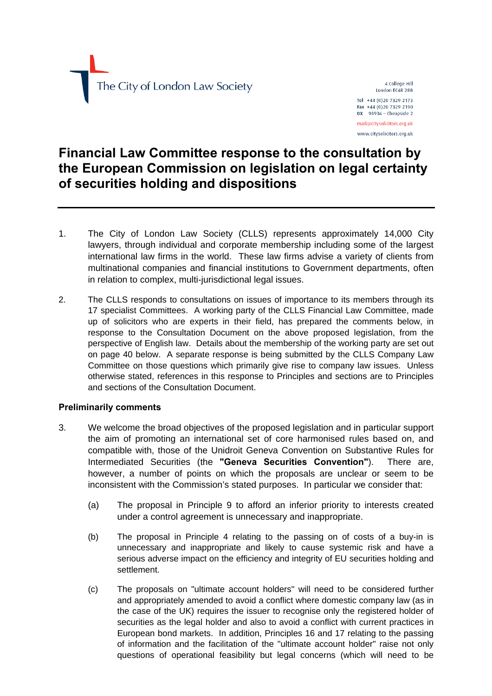

4 College Hill London EC4R 2RB Tel +44 (0)20 7329 2173 Fax +44 (0)20 7329 2190  $DX$  98936 - Cheapside 2

mail@citysolicitors.org.uk www.citysolicitors.org.uk

# **Financial Law Committee response to the consultation by the European Commission on legislation on legal certainty of securities holding and dispositions**

- 1. The City of London Law Society (CLLS) represents approximately 14,000 City lawyers, through individual and corporate membership including some of the largest international law firms in the world. These law firms advise a variety of clients from multinational companies and financial institutions to Government departments, often in relation to complex, multi-jurisdictional legal issues.
- 2. The CLLS responds to consultations on issues of importance to its members through its 17 specialist Committees. A working party of the CLLS Financial Law Committee, made up of solicitors who are experts in their field, has prepared the comments below, in response to the Consultation Document on the above proposed legislation, from the perspective of English law. Details about the membership of the working party are set out on page 40 below. A separate response is being submitted by the CLLS Company Law Committee on those questions which primarily give rise to company law issues. Unless otherwise stated, references in this response to Principles and sections are to Principles and sections of the Consultation Document.

#### **Preliminarily comments**

- <span id="page-0-0"></span>3. We welcome the broad objectives of the proposed legislation and in particular support the aim of promoting an international set of core harmonised rules based on, and compatible with, those of the Unidroit Geneva Convention on Substantive Rules for Intermediated Securities (the **"Geneva Securities Convention"**). There are, however, a number of points on which the proposals are unclear or seem to be inconsistent with the Commission's stated purposes. In particular we consider that:
	- (a) The proposal in Principle 9 to afford an inferior priority to interests created under a control agreement is unnecessary and inappropriate.
	- (b) The proposal in Principle 4 relating to the passing on of costs of a buy-in is unnecessary and inappropriate and likely to cause systemic risk and have a serious adverse impact on the efficiency and integrity of EU securities holding and settlement.
	- (c) The proposals on "ultimate account holders" will need to be considered further and appropriately amended to avoid a conflict where domestic company law (as in the case of the UK) requires the issuer to recognise only the registered holder of securities as the legal holder and also to avoid a conflict with current practices in European bond markets. In addition, Principles 16 and 17 relating to the passing of information and the facilitation of the "ultimate account holder" raise not only questions of operational feasibility but legal concerns (which will need to be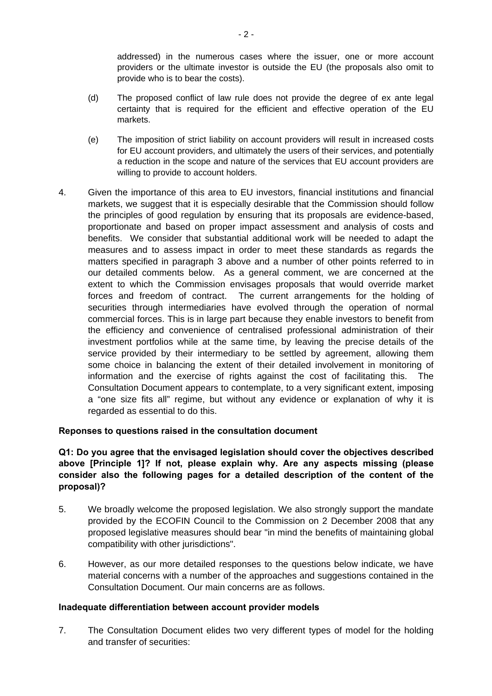addressed) in the numerous cases where the issuer, one or more account providers or the ultimate investor is outside the EU (the proposals also omit to provide who is to bear the costs).

- (d) The proposed conflict of law rule does not provide the degree of ex ante legal certainty that is required for the efficient and effective operation of the EU markets.
- (e) The imposition of strict liability on account providers will result in increased costs for EU account providers, and ultimately the users of their services, and potentially a reduction in the scope and nature of the services that EU account providers are willing to provide to account holders.
- 4. Given the importance of this area to EU investors, financial institutions and financial markets, we suggest that it is especially desirable that the Commission should follow the principles of good regulation by ensuring that its proposals are evidence-based, proportionate and based on proper impact assessment and analysis of costs and benefits. We consider that substantial additional work will be needed to adapt the measures and to assess impact in order to meet these standards as regards the matters specified in paragraph 3 above and a number of other points referred to in our detailed comments below. As a general comment, we are concerned at the extent to which the Commission envisages proposals that would override market forces and freedom of contract. The current arrangements for the holding of securities through intermediaries have evolved through the operation of normal commercial forces. This is in large part because they enable investors to benefit from the efficiency and convenience of centralised professional administration of their investment portfolios while at the same time, by leaving the precise details of the service provided by their intermediary to be settled by agreement, allowing them some choice in balancing the extent of their detailed involvement in monitoring of information and the exercise of rights against the cost of facilitating this. The Consultation Document appears to contemplate, to a very significant extent, imposing a "one size fits all" regime, but without any evidence or explanation of why it is regarded as essential to do this.

#### **Reponses to questions raised in the consultation document**

### **Q1: Do you agree that the envisaged legislation should cover the objectives described above [Principle 1]? If not, please explain why. Are any aspects missing (please consider also the following pages for a detailed description of the content of the proposal)?**

- 5. We broadly welcome the proposed legislation. We also strongly support the mandate provided by the ECOFIN Council to the Commission on 2 December 2008 that any proposed legislative measures should bear "in mind the benefits of maintaining global compatibility with other jurisdictions".
- 6. However, as our more detailed responses to the questions below indicate, we have material concerns with a number of the approaches and suggestions contained in the Consultation Document. Our main concerns are as follows.

#### **Inadequate differentiation between account provider models**

7. The Consultation Document elides two very different types of model for the holding and transfer of securities: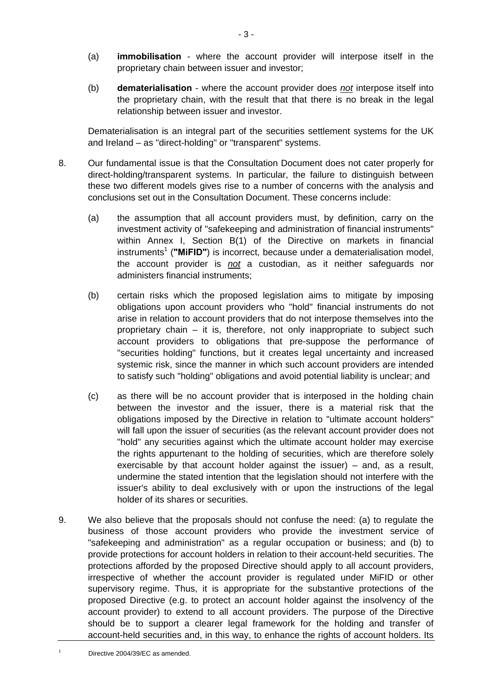- (a) **immobilisation**  where the account provider will interpose itself in the proprietary chain between issuer and investor;
- (b) **dematerialisation**  where the account provider does *not* interpose itself into the proprietary chain, with the result that that there is no break in the legal relationship between issuer and investor.

Dematerialisation is an integral part of the securities settlement systems for the UK and Ireland – as "direct-holding" or "transparent" systems.

- 8. Our fundamental issue is that the Consultation Document does not cater properly for direct-holding/transparent systems. In particular, the failure to distinguish between these two different models gives rise to a number of concerns with the analysis and conclusions set out in the Consultation Document. These concerns include:
	- (a) the assumption that all account providers must, by definition, carry on the investment activity of "safekeeping and administration of financial instruments" within Annex I, Section B(1) of the Directive on markets in financial instruments<sup>[1](#page-2-0)</sup> ("MiFID") is incorrect, because under a dematerialisation model, the account provider is *not* a custodian, as it neither safeguards nor administers financial instruments;
	- (b) certain risks which the proposed legislation aims to mitigate by imposing obligations upon account providers who "hold" financial instruments do not arise in relation to account providers that do not interpose themselves into the proprietary chain – it is, therefore, not only inappropriate to subject such account providers to obligations that pre-suppose the performance of "securities holding" functions, but it creates legal uncertainty and increased systemic risk, since the manner in which such account providers are intended to satisfy such "holding" obligations and avoid potential liability is unclear; and
	- (c) as there will be no account provider that is interposed in the holding chain between the investor and the issuer, there is a material risk that the obligations imposed by the Directive in relation to "ultimate account holders" will fall upon the issuer of securities (as the relevant account provider does not "hold" any securities against which the ultimate account holder may exercise the rights appurtenant to the holding of securities, which are therefore solely exercisable by that account holder against the issuer) – and, as a result, undermine the stated intention that the legislation should not interfere with the issuer's ability to deal exclusively with or upon the instructions of the legal holder of its shares or securities.
- 9. We also believe that the proposals should not confuse the need: (a) to regulate the business of those account providers who provide the investment service of "safekeeping and administration" as a regular occupation or business; and (b) to provide protections for account holders in relation to their account-held securities. The protections afforded by the proposed Directive should apply to all account providers, irrespective of whether the account provider is regulated under MiFID or other supervisory regime. Thus, it is appropriate for the substantive protections of the proposed Directive (e.g. to protect an account holder against the insolvency of the account provider) to extend to all account providers. The purpose of the Directive should be to support a clearer legal framework for the holding and transfer of account-held securities and, in this way, to enhance the rights of account holders. Its

<span id="page-2-0"></span>1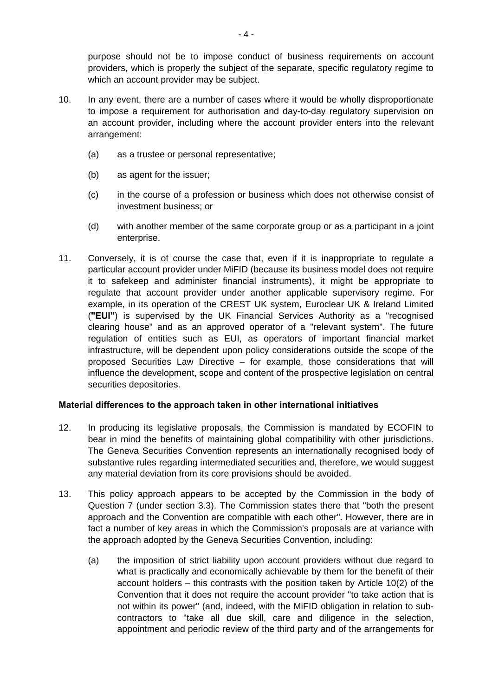purpose should not be to impose conduct of business requirements on account providers, which is properly the subject of the separate, specific regulatory regime to which an account provider may be subject.

- 10. In any event, there are a number of cases where it would be wholly disproportionate to impose a requirement for authorisation and day-to-day regulatory supervision on an account provider, including where the account provider enters into the relevant arrangement:
	- (a) as a trustee or personal representative;
	- (b) as agent for the issuer;
	- (c) in the course of a profession or business which does not otherwise consist of investment business; or
	- (d) with another member of the same corporate group or as a participant in a joint enterprise.
- <span id="page-3-0"></span>11. Conversely, it is of course the case that, even if it is inappropriate to regulate a particular account provider under MiFID (because its business model does not require it to safekeep and administer financial instruments), it might be appropriate to regulate that account provider under another applicable supervisory regime. For example, in its operation of the CREST UK system, Euroclear UK & Ireland Limited (**"EUI"**) is supervised by the UK Financial Services Authority as a "recognised clearing house" and as an approved operator of a "relevant system". The future regulation of entities such as EUI, as operators of important financial market infrastructure, will be dependent upon policy considerations outside the scope of the proposed Securities Law Directive – for example, those considerations that will influence the development, scope and content of the prospective legislation on central securities depositories.

#### **Material differences to the approach taken in other international initiatives**

- 12. In producing its legislative proposals, the Commission is mandated by ECOFIN to bear in mind the benefits of maintaining global compatibility with other jurisdictions. The Geneva Securities Convention represents an internationally recognised body of substantive rules regarding intermediated securities and, therefore, we would suggest any material deviation from its core provisions should be avoided.
- <span id="page-3-1"></span>13. This policy approach appears to be accepted by the Commission in the body of Question 7 (under section 3.3). The Commission states there that "both the present approach and the Convention are compatible with each other". However, there are in fact a number of key areas in which the Commission's proposals are at variance with the approach adopted by the Geneva Securities Convention, including:
	- (a) the imposition of strict liability upon account providers without due regard to what is practically and economically achievable by them for the benefit of their account holders – this contrasts with the position taken by Article 10(2) of the Convention that it does not require the account provider "to take action that is not within its power" (and, indeed, with the MiFID obligation in relation to subcontractors to "take all due skill, care and diligence in the selection, appointment and periodic review of the third party and of the arrangements for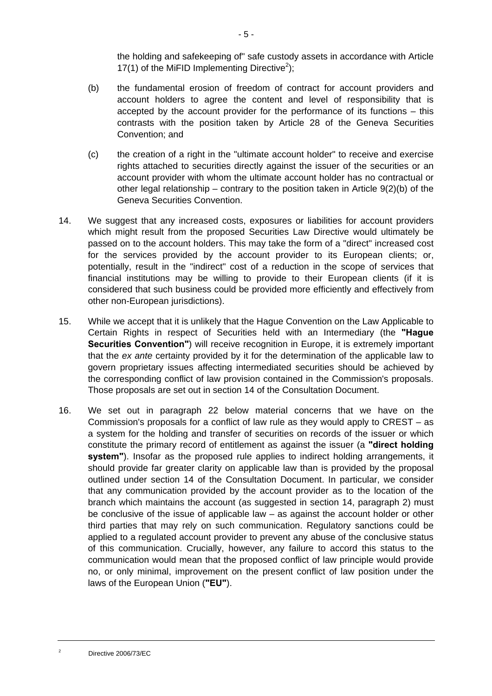the holding and safekeeping of" safe custody assets in accordance with Article 17(1[\)](#page-4-0) of the MiFID Implementing Directive<sup>2</sup>);

- (b) the fundamental erosion of freedom of contract for account providers and account holders to agree the content and level of responsibility that is accepted by the account provider for the performance of its functions – this contrasts with the position taken by Article 28 of the Geneva Securities Convention; and
- (c) the creation of a right in the "ultimate account holder" to receive and exercise rights attached to securities directly against the issuer of the securities or an account provider with whom the ultimate account holder has no contractual or other legal relationship – contrary to the position taken in Article  $9(2)(b)$  of the Geneva Securities Convention.
- 14. We suggest that any increased costs, exposures or liabilities for account providers which might result from the proposed Securities Law Directive would ultimately be passed on to the account holders. This may take the form of a "direct" increased cost for the services provided by the account provider to its European clients; or, potentially, result in the "indirect" cost of a reduction in the scope of services that financial institutions may be willing to provide to their European clients (if it is considered that such business could be provided more efficiently and effectively from other non-European jurisdictions).
- 15. While we accept that it is unlikely that the Hague Convention on the Law Applicable to Certain Rights in respect of Securities held with an Intermediary (the **"Hague Securities Convention"**) will receive recognition in Europe, it is extremely important that the *ex ante* certainty provided by it for the determination of the applicable law to govern proprietary issues affecting intermediated securities should be achieved by the corresponding conflict of law provision contained in the Commission's proposals. Those proposals are set out in section 14 of the Consultation Document.
- 16. We set out in paragraph [22](#page-6-0) below material concerns that we have on the Commission's proposals for a conflict of law rule as they would apply to CREST – as a system for the holding and transfer of securities on records of the issuer or which constitute the primary record of entitlement as against the issuer (a **"direct holding system"**). Insofar as the proposed rule applies to indirect holding arrangements, it should provide far greater clarity on applicable law than is provided by the proposal outlined under section 14 of the Consultation Document. In particular, we consider that any communication provided by the account provider as to the location of the branch which maintains the account (as suggested in section 14, paragraph 2) must be conclusive of the issue of applicable law – as against the account holder or other third parties that may rely on such communication. Regulatory sanctions could be applied to a regulated account provider to prevent any abuse of the conclusive status of this communication. Crucially, however, any failure to accord this status to the communication would mean that the proposed conflict of law principle would provide no, or only minimal, improvement on the present conflict of law position under the laws of the European Union (**"EU"**).

<span id="page-4-0"></span>2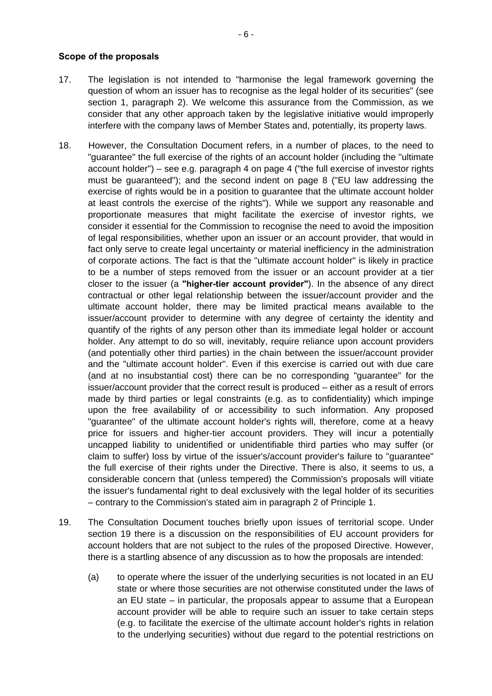#### **Scope of the proposals**

- 17. The legislation is not intended to "harmonise the legal framework governing the question of whom an issuer has to recognise as the legal holder of its securities" (see section 1, paragraph 2). We welcome this assurance from the Commission, as we consider that any other approach taken by the legislative initiative would improperly interfere with the company laws of Member States and, potentially, its property laws.
- 18. However, the Consultation Document refers, in a number of places, to the need to "guarantee" the full exercise of the rights of an account holder (including the "ultimate account holder") – see e.g. paragraph 4 on page 4 ("the full exercise of investor rights must be guaranteed"); and the second indent on page 8 ("EU law addressing the exercise of rights would be in a position to guarantee that the ultimate account holder at least controls the exercise of the rights"). While we support any reasonable and proportionate measures that might facilitate the exercise of investor rights, we consider it essential for the Commission to recognise the need to avoid the imposition of legal responsibilities, whether upon an issuer or an account provider, that would in fact only serve to create legal uncertainty or material inefficiency in the administration of corporate actions. The fact is that the "ultimate account holder" is likely in practice to be a number of steps removed from the issuer or an account provider at a tier closer to the issuer (a **"higher-tier account provider"**). In the absence of any direct contractual or other legal relationship between the issuer/account provider and the ultimate account holder, there may be limited practical means available to the issuer/account provider to determine with any degree of certainty the identity and quantify of the rights of any person other than its immediate legal holder or account holder. Any attempt to do so will, inevitably, require reliance upon account providers (and potentially other third parties) in the chain between the issuer/account provider and the "ultimate account holder". Even if this exercise is carried out with due care (and at no insubstantial cost) there can be no corresponding "guarantee" for the issuer/account provider that the correct result is produced – either as a result of errors made by third parties or legal constraints (e.g. as to confidentiality) which impinge upon the free availability of or accessibility to such information. Any proposed "guarantee" of the ultimate account holder's rights will, therefore, come at a heavy price for issuers and higher-tier account providers. They will incur a potentially uncapped liability to unidentified or unidentifiable third parties who may suffer (or claim to suffer) loss by virtue of the issuer's/account provider's failure to "guarantee" the full exercise of their rights under the Directive. There is also, it seems to us, a considerable concern that (unless tempered) the Commission's proposals will vitiate the issuer's fundamental right to deal exclusively with the legal holder of its securities – contrary to the Commission's stated aim in paragraph 2 of Principle 1.
- <span id="page-5-0"></span>19. The Consultation Document touches briefly upon issues of territorial scope. Under section 19 there is a discussion on the responsibilities of EU account providers for account holders that are not subject to the rules of the proposed Directive. However, there is a startling absence of any discussion as to how the proposals are intended:
	- (a) to operate where the issuer of the underlying securities is not located in an EU state or where those securities are not otherwise constituted under the laws of an EU state – in particular, the proposals appear to assume that a European account provider will be able to require such an issuer to take certain steps (e.g. to facilitate the exercise of the ultimate account holder's rights in relation to the underlying securities) without due regard to the potential restrictions on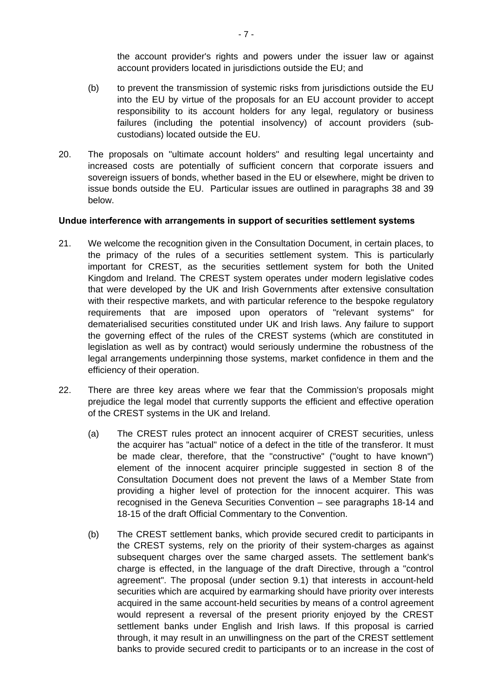the account provider's rights and powers under the issuer law or against account providers located in jurisdictions outside the EU; and

- (b) to prevent the transmission of systemic risks from jurisdictions outside the EU into the EU by virtue of the proposals for an EU account provider to accept responsibility to its account holders for any legal, regulatory or business failures (including the potential insolvency) of account providers (subcustodians) located outside the EU.
- 20. The proposals on "ultimate account holders" and resulting legal uncertainty and increased costs are potentially of sufficient concern that corporate issuers and sovereign issuers of bonds, whether based in the EU or elsewhere, might be driven to issue bonds outside the EU. Particular issues are outlined in paragraphs [38](#page-12-0) and [39](#page-12-1)  below.

#### **Undue interference with arrangements in support of securities settlement systems**

- 21. We welcome the recognition given in the Consultation Document, in certain places, to the primacy of the rules of a securities settlement system. This is particularly important for CREST, as the securities settlement system for both the United Kingdom and Ireland. The CREST system operates under modern legislative codes that were developed by the UK and Irish Governments after extensive consultation with their respective markets, and with particular reference to the bespoke regulatory requirements that are imposed upon operators of "relevant systems" for dematerialised securities constituted under UK and Irish laws. Any failure to support the governing effect of the rules of the CREST systems (which are constituted in legislation as well as by contract) would seriously undermine the robustness of the legal arrangements underpinning those systems, market confidence in them and the efficiency of their operation.
- <span id="page-6-0"></span>22. There are three key areas where we fear that the Commission's proposals might prejudice the legal model that currently supports the efficient and effective operation of the CREST systems in the UK and Ireland.
	- (a) The CREST rules protect an innocent acquirer of CREST securities, unless the acquirer has "actual" notice of a defect in the title of the transferor. It must be made clear, therefore, that the "constructive" ("ought to have known") element of the innocent acquirer principle suggested in section 8 of the Consultation Document does not prevent the laws of a Member State from providing a higher level of protection for the innocent acquirer. This was recognised in the Geneva Securities Convention – see paragraphs 18-14 and 18-15 of the draft Official Commentary to the Convention.
	- (b) The CREST settlement banks, which provide secured credit to participants in the CREST systems, rely on the priority of their system-charges as against subsequent charges over the same charged assets. The settlement bank's charge is effected, in the language of the draft Directive, through a "control agreement". The proposal (under section 9.1) that interests in account-held securities which are acquired by earmarking should have priority over interests acquired in the same account-held securities by means of a control agreement would represent a reversal of the present priority enjoyed by the CREST settlement banks under English and Irish laws. If this proposal is carried through, it may result in an unwillingness on the part of the CREST settlement banks to provide secured credit to participants or to an increase in the cost of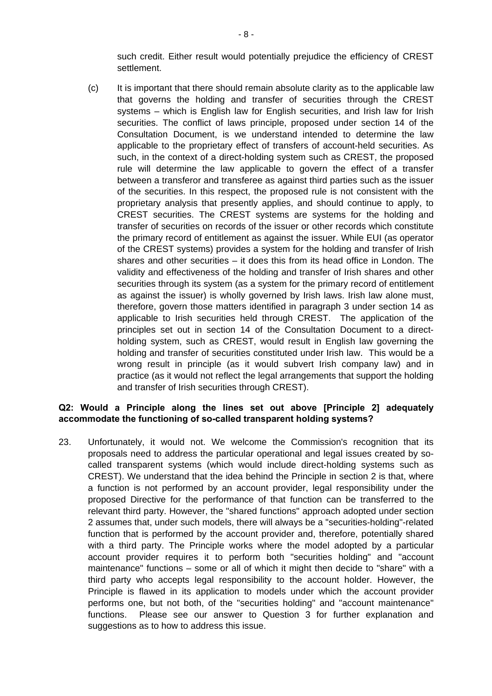such credit. Either result would potentially prejudice the efficiency of CREST settlement.

(c) It is important that there should remain absolute clarity as to the applicable law that governs the holding and transfer of securities through the CREST systems – which is English law for English securities, and Irish law for Irish securities. The conflict of laws principle, proposed under section 14 of the Consultation Document, is we understand intended to determine the law applicable to the proprietary effect of transfers of account-held securities. As such, in the context of a direct-holding system such as CREST, the proposed rule will determine the law applicable to govern the effect of a transfer between a transferor and transferee as against third parties such as the issuer of the securities. In this respect, the proposed rule is not consistent with the proprietary analysis that presently applies, and should continue to apply, to CREST securities. The CREST systems are systems for the holding and transfer of securities on records of the issuer or other records which constitute the primary record of entitlement as against the issuer. While EUI (as operator of the CREST systems) provides a system for the holding and transfer of Irish shares and other securities – it does this from its head office in London. The validity and effectiveness of the holding and transfer of Irish shares and other securities through its system (as a system for the primary record of entitlement as against the issuer) is wholly governed by Irish laws. Irish law alone must, therefore, govern those matters identified in paragraph 3 under section 14 as applicable to Irish securities held through CREST. The application of the principles set out in section 14 of the Consultation Document to a directholding system, such as CREST, would result in English law governing the holding and transfer of securities constituted under Irish law. This would be a wrong result in principle (as it would subvert Irish company law) and in practice (as it would not reflect the legal arrangements that support the holding and transfer of Irish securities through CREST).

### **Q2: Would a Principle along the lines set out above [Principle 2] adequately accommodate the functioning of so-called transparent holding systems?**

23. Unfortunately, it would not. We welcome the Commission's recognition that its proposals need to address the particular operational and legal issues created by socalled transparent systems (which would include direct-holding systems such as CREST). We understand that the idea behind the Principle in section 2 is that, where a function is not performed by an account provider, legal responsibility under the proposed Directive for the performance of that function can be transferred to the relevant third party. However, the "shared functions" approach adopted under section 2 assumes that, under such models, there will always be a "securities-holding"-related function that is performed by the account provider and, therefore, potentially shared with a third party. The Principle works where the model adopted by a particular account provider requires it to perform both "securities holding" and "account maintenance" functions – some or all of which it might then decide to "share" with a third party who accepts legal responsibility to the account holder. However, the Principle is flawed in its application to models under which the account provider performs one, but not both, of the "securities holding" and "account maintenance" functions. Please see our answer to Question 3 for further explanation and suggestions as to how to address this issue.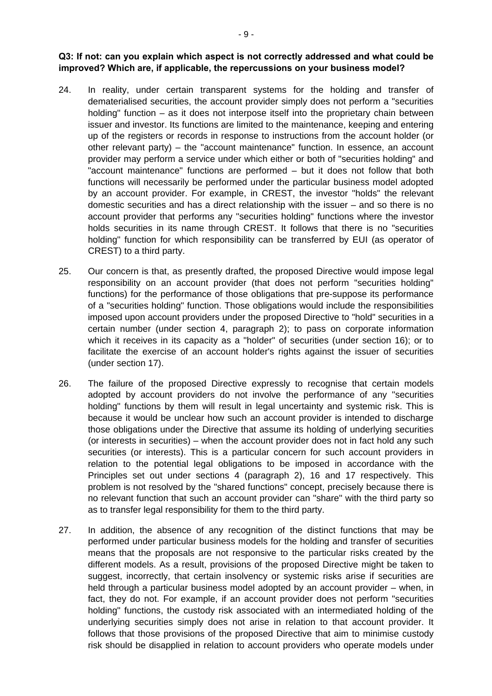#### **Q3: If not: can you explain which aspect is not correctly addressed and what could be improved? Which are, if applicable, the repercussions on your business model?**

- 24. In reality, under certain transparent systems for the holding and transfer of dematerialised securities, the account provider simply does not perform a "securities holding" function – as it does not interpose itself into the proprietary chain between issuer and investor. Its functions are limited to the maintenance, keeping and entering up of the registers or records in response to instructions from the account holder (or other relevant party) – the "account maintenance" function. In essence, an account provider may perform a service under which either or both of "securities holding" and "account maintenance" functions are performed – but it does not follow that both functions will necessarily be performed under the particular business model adopted by an account provider. For example, in CREST, the investor "holds" the relevant domestic securities and has a direct relationship with the issuer – and so there is no account provider that performs any "securities holding" functions where the investor holds securities in its name through CREST. It follows that there is no "securities holding" function for which responsibility can be transferred by EUI (as operator of CREST) to a third party.
- 25. Our concern is that, as presently drafted, the proposed Directive would impose legal responsibility on an account provider (that does not perform "securities holding" functions) for the performance of those obligations that pre-suppose its performance of a "securities holding" function. Those obligations would include the responsibilities imposed upon account providers under the proposed Directive to "hold" securities in a certain number (under section 4, paragraph 2); to pass on corporate information which it receives in its capacity as a "holder" of securities (under section 16); or to facilitate the exercise of an account holder's rights against the issuer of securities (under section 17).
- 26. The failure of the proposed Directive expressly to recognise that certain models adopted by account providers do not involve the performance of any "securities holding" functions by them will result in legal uncertainty and systemic risk. This is because it would be unclear how such an account provider is intended to discharge those obligations under the Directive that assume its holding of underlying securities (or interests in securities) – when the account provider does not in fact hold any such securities (or interests). This is a particular concern for such account providers in relation to the potential legal obligations to be imposed in accordance with the Principles set out under sections 4 (paragraph 2), 16 and 17 respectively. This problem is not resolved by the "shared functions" concept, precisely because there is no relevant function that such an account provider can "share" with the third party so as to transfer legal responsibility for them to the third party.
- 27. In addition, the absence of any recognition of the distinct functions that may be performed under particular business models for the holding and transfer of securities means that the proposals are not responsive to the particular risks created by the different models. As a result, provisions of the proposed Directive might be taken to suggest, incorrectly, that certain insolvency or systemic risks arise if securities are held through a particular business model adopted by an account provider – when, in fact, they do not. For example, if an account provider does not perform "securities holding" functions, the custody risk associated with an intermediated holding of the underlying securities simply does not arise in relation to that account provider. It follows that those provisions of the proposed Directive that aim to minimise custody risk should be disapplied in relation to account providers who operate models under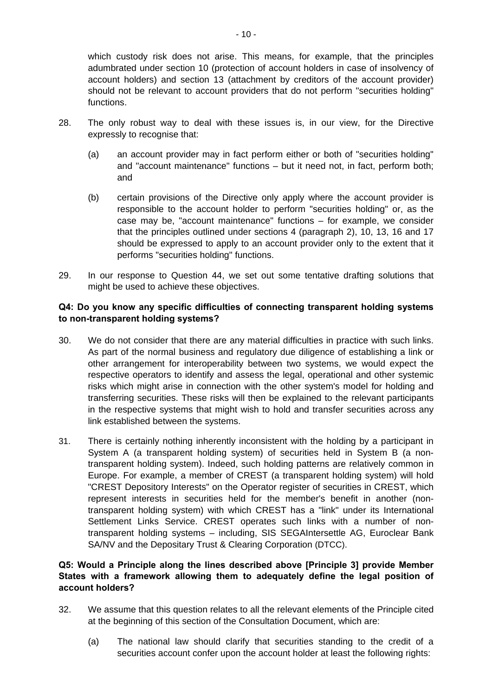which custody risk does not arise. This means, for example, that the principles adumbrated under section 10 (protection of account holders in case of insolvency of account holders) and section 13 (attachment by creditors of the account provider) should not be relevant to account providers that do not perform "securities holding" functions.

- 28. The only robust way to deal with these issues is, in our view, for the Directive expressly to recognise that:
	- (a) an account provider may in fact perform either or both of "securities holding" and "account maintenance" functions – but it need not, in fact, perform both; and
	- (b) certain provisions of the Directive only apply where the account provider is responsible to the account holder to perform "securities holding" or, as the case may be, "account maintenance" functions – for example, we consider that the principles outlined under sections 4 (paragraph 2), 10, 13, 16 and 17 should be expressed to apply to an account provider only to the extent that it performs "securities holding" functions.
- 29. In our response to Question 44, we set out some tentative drafting solutions that might be used to achieve these objectives.

### **Q4: Do you know any specific difficulties of connecting transparent holding systems to non-transparent holding systems?**

- 30. We do not consider that there are any material difficulties in practice with such links. As part of the normal business and regulatory due diligence of establishing a link or other arrangement for interoperability between two systems, we would expect the respective operators to identify and assess the legal, operational and other systemic risks which might arise in connection with the other system's model for holding and transferring securities. These risks will then be explained to the relevant participants in the respective systems that might wish to hold and transfer securities across any link established between the systems.
- 31. There is certainly nothing inherently inconsistent with the holding by a participant in System A (a transparent holding system) of securities held in System B (a nontransparent holding system). Indeed, such holding patterns are relatively common in Europe. For example, a member of CREST (a transparent holding system) will hold "CREST Depository Interests" on the Operator register of securities in CREST, which represent interests in securities held for the member's benefit in another (nontransparent holding system) with which CREST has a "link" under its International Settlement Links Service. CREST operates such links with a number of nontransparent holding systems – including, SIS SEGAIntersettle AG, Euroclear Bank SA/NV and the Depositary Trust & Clearing Corporation (DTCC).

### **Q5: Would a Principle along the lines described above [Principle 3] provide Member States with a framework allowing them to adequately define the legal position of account holders?**

- 32. We assume that this question relates to all the relevant elements of the Principle cited at the beginning of this section of the Consultation Document, which are:
	- (a) The national law should clarify that securities standing to the credit of a securities account confer upon the account holder at least the following rights: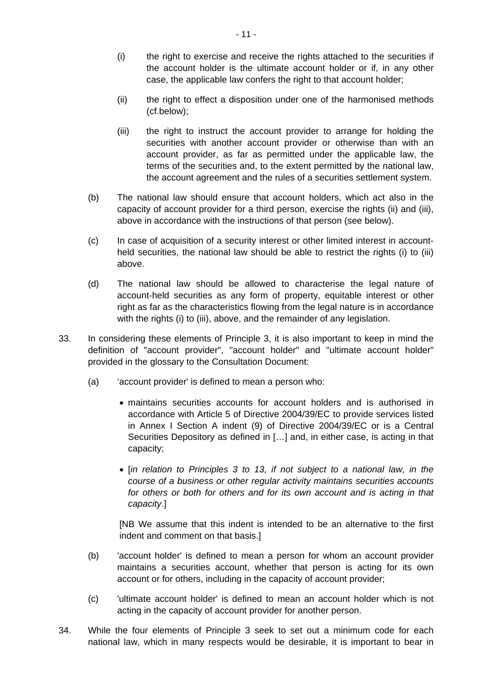- <span id="page-10-2"></span>(i) the right to exercise and receive the rights attached to the securities if the account holder is the ultimate account holder or if, in any other case, the applicable law confers the right to that account holder;
- <span id="page-10-0"></span>(ii) the right to effect a disposition under one of the harmonised methods (cf.below);
- <span id="page-10-1"></span>(iii) the right to instruct the account provider to arrange for holding the securities with another account provider or otherwise than with an account provider, as far as permitted under the applicable law, the terms of the securities and, to the extent permitted by the national law, the account agreement and the rules of a securities settlement system.
- (b) The national law should ensure that account holders, which act also in the capacity of account provider for a third person, exercise the rights [\(ii\)](#page-10-0) and [\(iii\),](#page-10-1) above in accordance with the instructions of that person (see below).
- (c) In case of acquisition of a security interest or other limited interest in accountheld securities, the national law should be able to restrict the rights [\(i\)](#page-10-2) to [\(iii\)](#page-10-1)  above.
- (d) The national law should be allowed to characterise the legal nature of account-held securities as any form of property, equitable interest or other right as far as the characteristics flowing from the legal nature is in accordance with the rights [\(i\)](#page-10-2) to [\(iii\),](#page-10-1) above, and the remainder of any legislation.
- 33. In considering these elements of Principle 3, it is also important to keep in mind the definition of "account provider", "account holder" and "ultimate account holder" provided in the glossary to the Consultation Document:
	- (a) 'account provider' is defined to mean a person who:
		- maintains securities accounts for account holders and is authorised in accordance with Article 5 of Directive 2004/39/EC to provide services listed in Annex I Section A indent (9) of Directive 2004/39/EC or is a Central Securities Depository as defined in […] and, in either case, is acting in that capacity;
		- [*in relation to Principles 3 to 13, if not subject to a national law, in the course of a business or other regular activity maintains securities accounts for others or both for others and for its own account and is acting in that capacity*.]

[NB We assume that this indent is intended to be an alternative to the first indent and comment on that basis.]

- (b) 'account holder' is defined to mean a person for whom an account provider maintains a securities account, whether that person is acting for its own account or for others, including in the capacity of account provider;
- (c) 'ultimate account holder' is defined to mean an account holder which is not acting in the capacity of account provider for another person.
- 34. While the four elements of Principle 3 seek to set out a minimum code for each national law, which in many respects would be desirable, it is important to bear in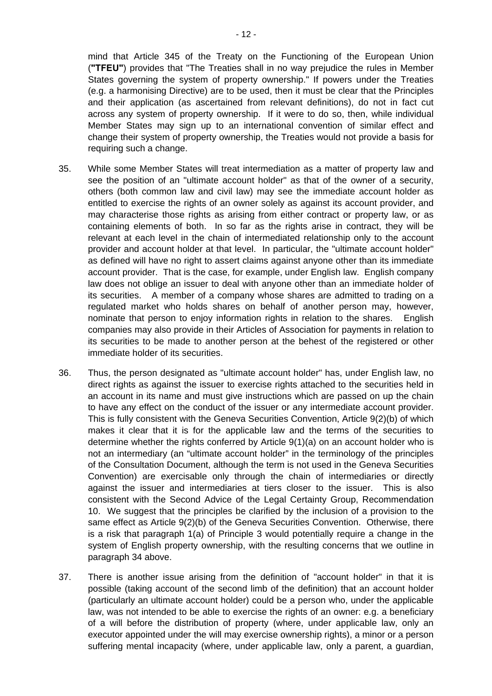mind that Article 345 of the Treaty on the Functioning of the European Union (**"TFEU"**) provides that "The Treaties shall in no way prejudice the rules in Member States governing the system of property ownership." If powers under the Treaties (e.g. a harmonising Directive) are to be used, then it must be clear that the Principles and their application (as ascertained from relevant definitions), do not in fact cut across any system of property ownership. If it were to do so, then, while individual Member States may sign up to an international convention of similar effect and change their system of property ownership, the Treaties would not provide a basis for requiring such a change.

- 35. While some Member States will treat intermediation as a matter of property law and see the position of an "ultimate account holder" as that of the owner of a security, others (both common law and civil law) may see the immediate account holder as entitled to exercise the rights of an owner solely as against its account provider, and may characterise those rights as arising from either contract or property law, or as containing elements of both. In so far as the rights arise in contract, they will be relevant at each level in the chain of intermediated relationship only to the account provider and account holder at that level. In particular, the "ultimate account holder" as defined will have no right to assert claims against anyone other than its immediate account provider. That is the case, for example, under English law. English company law does not oblige an issuer to deal with anyone other than an immediate holder of its securities. A member of a company whose shares are admitted to trading on a regulated market who holds shares on behalf of another person may, however, nominate that person to enjoy information rights in relation to the shares. English companies may also provide in their Articles of Association for payments in relation to its securities to be made to another person at the behest of the registered or other immediate holder of its securities.
- 36. Thus, the person designated as "ultimate account holder" has, under English law, no direct rights as against the issuer to exercise rights attached to the securities held in an account in its name and must give instructions which are passed on up the chain to have any effect on the conduct of the issuer or any intermediate account provider. This is fully consistent with the Geneva Securities Convention, Article 9(2)(b) of which makes it clear that it is for the applicable law and the terms of the securities to determine whether the rights conferred by Article 9(1)(a) on an account holder who is not an intermediary (an "ultimate account holder" in the terminology of the principles of the Consultation Document, although the term is not used in the Geneva Securities Convention) are exercisable only through the chain of intermediaries or directly against the issuer and intermediaries at tiers closer to the issuer. This is also consistent with the Second Advice of the Legal Certainty Group, Recommendation 10. We suggest that the principles be clarified by the inclusion of a provision to the same effect as Article 9(2)(b) of the Geneva Securities Convention. Otherwise, there is a risk that paragraph 1(a) of Principle 3 would potentially require a change in the system of English property ownership, with the resulting concerns that we outline in paragraph [34](#page-11-0) above.
- <span id="page-11-0"></span>37. There is another issue arising from the definition of "account holder" in that it is possible (taking account of the second limb of the definition) that an account holder (particularly an ultimate account holder) could be a person who, under the applicable law, was not intended to be able to exercise the rights of an owner: e.g. a beneficiary of a will before the distribution of property (where, under applicable law, only an executor appointed under the will may exercise ownership rights), a minor or a person suffering mental incapacity (where, under applicable law, only a parent, a guardian,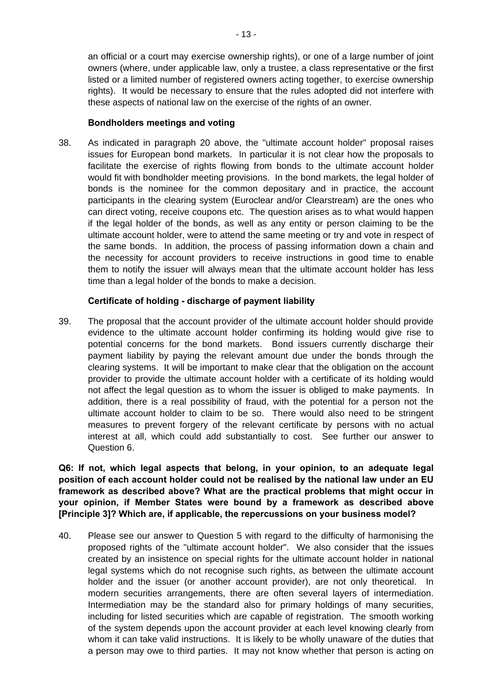an official or a court may exercise ownership rights), or one of a large number of joint owners (where, under applicable law, only a trustee, a class representative or the first listed or a limited number of registered owners acting together, to exercise ownership rights). It would be necessary to ensure that the rules adopted did not interfere with these aspects of national law on the exercise of the rights of an owner.

#### <span id="page-12-0"></span>**Bondholders meetings and voting**

38. As indicated in paragraph 20 above, the "ultimate account holder" proposal raises issues for European bond markets. In particular it is not clear how the proposals to facilitate the exercise of rights flowing from bonds to the ultimate account holder would fit with bondholder meeting provisions. In the bond markets, the legal holder of bonds is the nominee for the common depositary and in practice, the account participants in the clearing system (Euroclear and/or Clearstream) are the ones who can direct voting, receive coupons etc. The question arises as to what would happen if the legal holder of the bonds, as well as any entity or person claiming to be the ultimate account holder, were to attend the same meeting or try and vote in respect of the same bonds. In addition, the process of passing information down a chain and the necessity for account providers to receive instructions in good time to enable them to notify the issuer will always mean that the ultimate account holder has less time than a legal holder of the bonds to make a decision.

# <span id="page-12-1"></span>**Certificate of holding - discharge of payment liability**

39. The proposal that the account provider of the ultimate account holder should provide evidence to the ultimate account holder confirming its holding would give rise to potential concerns for the bond markets. Bond issuers currently discharge their payment liability by paying the relevant amount due under the bonds through the clearing systems. It will be important to make clear that the obligation on the account provider to provide the ultimate account holder with a certificate of its holding would not affect the legal question as to whom the issuer is obliged to make payments. In addition, there is a real possibility of fraud, with the potential for a person not the ultimate account holder to claim to be so. There would also need to be stringent measures to prevent forgery of the relevant certificate by persons with no actual interest at all, which could add substantially to cost. See further our answer to Question 6.

**Q6: If not, which legal aspects that belong, in your opinion, to an adequate legal position of each account holder could not be realised by the national law under an EU framework as described above? What are the practical problems that might occur in your opinion, if Member States were bound by a framework as described above [Principle 3]? Which are, if applicable, the repercussions on your business model?** 

40. Please see our answer to Question 5 with regard to the difficulty of harmonising the proposed rights of the "ultimate account holder". We also consider that the issues created by an insistence on special rights for the ultimate account holder in national legal systems which do not recognise such rights, as between the ultimate account holder and the issuer (or another account provider), are not only theoretical. In modern securities arrangements, there are often several layers of intermediation. Intermediation may be the standard also for primary holdings of many securities, including for listed securities which are capable of registration. The smooth working of the system depends upon the account provider at each level knowing clearly from whom it can take valid instructions. It is likely to be wholly unaware of the duties that a person may owe to third parties. It may not know whether that person is acting on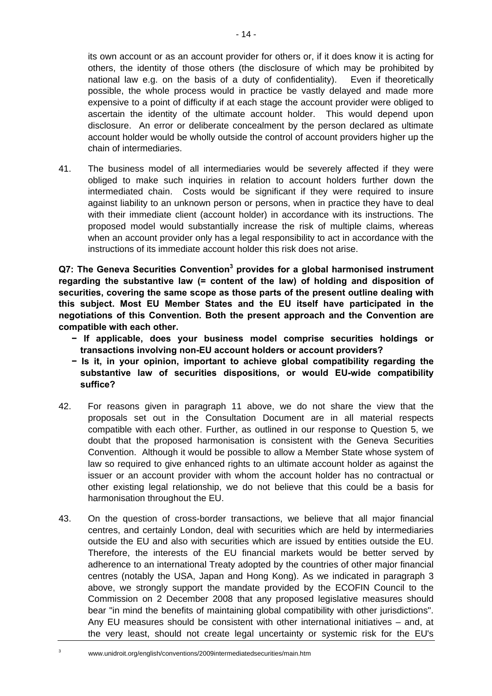its own account or as an account provider for others or, if it does know it is acting for others, the identity of those others (the disclosure of which may be prohibited by national law e.g. on the basis of a duty of confidentiality). Even if theoretically possible, the whole process would in practice be vastly delayed and made more expensive to a point of difficulty if at each stage the account provider were obliged to ascertain the identity of the ultimate account holder. This would depend upon disclosure. An error or deliberate concealment by the person declared as ultimate account holder would be wholly outside the control of account providers higher up the chain of intermediaries.

41. The business model of all intermediaries would be severely affected if they were obliged to make such inquiries in relation to account holders further down the intermediated chain. Costs would be significant if they were required to insure against liability to an unknown person or persons, when in practice they have to deal with their immediate client (account holder) in accordance with its instructions. The proposed model would substantially increase the risk of multiple claims, whereas when an account provider only has a legal responsibility to act in accordance with the instructions of its immediate account holder this risk does not arise.

**Q7: The Geneva Securities Convention[3](#page-13-0) provides for a global harmonised instrument regarding the substantive law (= content of the law) of holding and disposition of securities, covering the same scope as those parts of the present outline dealing with this subject. Most EU Member States and the EU itself have participated in the negotiations of this Convention. Both the present approach and the Convention are compatible with each other.** 

- **− If applicable, does your business model comprise securities holdings or transactions involving non-EU account holders or account providers?**
- **− Is it, in your opinion, important to achieve global compatibility regarding the substantive law of securities dispositions, or would EU-wide compatibility suffice?**
- 42. For reasons given in paragraph [11](#page-3-0) above, we do not share the view that the proposals set out in the Consultation Document are in all material respects compatible with each other. Further, as outlined in our response to Question 5, we doubt that the proposed harmonisation is consistent with the Geneva Securities Convention. Although it would be possible to allow a Member State whose system of law so required to give enhanced rights to an ultimate account holder as against the issuer or an account provider with whom the account holder has no contractual or other existing legal relationship, we do not believe that this could be a basis for harmonisation throughout the EU.
- 43. On the question of cross-border transactions, we believe that all major financial centres, and certainly London, deal with securities which are held by intermediaries outside the EU and also with securities which are issued by entities outside the EU. Therefore, the interests of the EU financial markets would be better served by adherence to an international Treaty adopted by the countries of other major financial centres (notably the USA, Japan and Hong Kong). As we indicated in paragraph [3](#page-0-0)  above, we strongly support the mandate provided by the ECOFIN Council to the Commission on 2 December 2008 that any proposed legislative measures should bear "in mind the benefits of maintaining global compatibility with other jurisdictions". Any EU measures should be consistent with other international initiatives – and, at the very least, should not create legal uncertainty or systemic risk for the EU's
- <span id="page-13-0"></span>3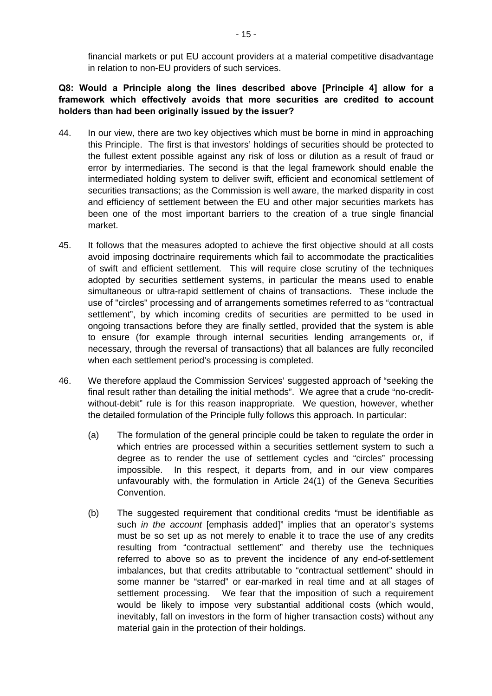financial markets or put EU account providers at a material competitive disadvantage in relation to non-EU providers of such services.

# **Q8: Would a Principle along the lines described above [Principle 4] allow for a framework which effectively avoids that more securities are credited to account holders than had been originally issued by the issuer?**

- 44. In our view, there are two key objectives which must be borne in mind in approaching this Principle. The first is that investors' holdings of securities should be protected to the fullest extent possible against any risk of loss or dilution as a result of fraud or error by intermediaries. The second is that the legal framework should enable the intermediated holding system to deliver swift, efficient and economical settlement of securities transactions; as the Commission is well aware, the marked disparity in cost and efficiency of settlement between the EU and other major securities markets has been one of the most important barriers to the creation of a true single financial market.
- 45. It follows that the measures adopted to achieve the first objective should at all costs avoid imposing doctrinaire requirements which fail to accommodate the practicalities of swift and efficient settlement. This will require close scrutiny of the techniques adopted by securities settlement systems, in particular the means used to enable simultaneous or ultra-rapid settlement of chains of transactions. These include the use of "circles" processing and of arrangements sometimes referred to as "contractual settlement", by which incoming credits of securities are permitted to be used in ongoing transactions before they are finally settled, provided that the system is able to ensure (for example through internal securities lending arrangements or, if necessary, through the reversal of transactions) that all balances are fully reconciled when each settlement period's processing is completed.
- 46. We therefore applaud the Commission Services' suggested approach of "seeking the final result rather than detailing the initial methods". We agree that a crude "no-creditwithout-debit" rule is for this reason inappropriate. We question, however, whether the detailed formulation of the Principle fully follows this approach. In particular:
	- (a) The formulation of the general principle could be taken to regulate the order in which entries are processed within a securities settlement system to such a degree as to render the use of settlement cycles and "circles" processing impossible. In this respect, it departs from, and in our view compares unfavourably with, the formulation in Article 24(1) of the Geneva Securities Convention.
	- (b) The suggested requirement that conditional credits "must be identifiable as such *in the account* [emphasis added]" implies that an operator's systems must be so set up as not merely to enable it to trace the use of any credits resulting from "contractual settlement" and thereby use the techniques referred to above so as to prevent the incidence of any end-of-settlement imbalances, but that credits attributable to "contractual settlement" should in some manner be "starred" or ear-marked in real time and at all stages of settlement processing. We fear that the imposition of such a requirement would be likely to impose very substantial additional costs (which would, inevitably, fall on investors in the form of higher transaction costs) without any material gain in the protection of their holdings.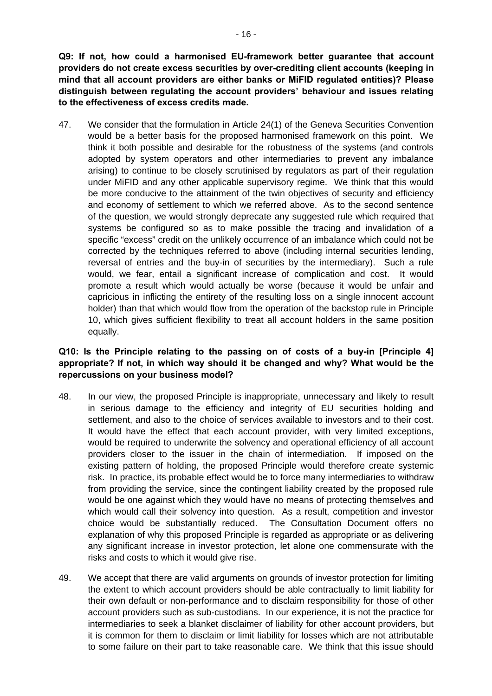**Q9: If not, how could a harmonised EU-framework better guarantee that account providers do not create excess securities by over-crediting client accounts (keeping in mind that all account providers are either banks or MiFID regulated entities)? Please distinguish between regulating the account providers' behaviour and issues relating to the effectiveness of excess credits made.** 

47. We consider that the formulation in Article 24(1) of the Geneva Securities Convention would be a better basis for the proposed harmonised framework on this point. We think it both possible and desirable for the robustness of the systems (and controls adopted by system operators and other intermediaries to prevent any imbalance arising) to continue to be closely scrutinised by regulators as part of their regulation under MiFID and any other applicable supervisory regime. We think that this would be more conducive to the attainment of the twin objectives of security and efficiency and economy of settlement to which we referred above. As to the second sentence of the question, we would strongly deprecate any suggested rule which required that systems be configured so as to make possible the tracing and invalidation of a specific "excess" credit on the unlikely occurrence of an imbalance which could not be corrected by the techniques referred to above (including internal securities lending, reversal of entries and the buy-in of securities by the intermediary). Such a rule would, we fear, entail a significant increase of complication and cost. It would promote a result which would actually be worse (because it would be unfair and capricious in inflicting the entirety of the resulting loss on a single innocent account holder) than that which would flow from the operation of the backstop rule in Principle 10, which gives sufficient flexibility to treat all account holders in the same position equally.

### **Q10: Is the Principle relating to the passing on of costs of a buy-in [Principle 4] appropriate? If not, in which way should it be changed and why? What would be the repercussions on your business model?**

- 48. In our view, the proposed Principle is inappropriate, unnecessary and likely to result in serious damage to the efficiency and integrity of EU securities holding and settlement, and also to the choice of services available to investors and to their cost. It would have the effect that each account provider, with very limited exceptions, would be required to underwrite the solvency and operational efficiency of all account providers closer to the issuer in the chain of intermediation. If imposed on the existing pattern of holding, the proposed Principle would therefore create systemic risk. In practice, its probable effect would be to force many intermediaries to withdraw from providing the service, since the contingent liability created by the proposed rule would be one against which they would have no means of protecting themselves and which would call their solvency into question. As a result, competition and investor choice would be substantially reduced. The Consultation Document offers no explanation of why this proposed Principle is regarded as appropriate or as delivering any significant increase in investor protection, let alone one commensurate with the risks and costs to which it would give rise.
- 49. We accept that there are valid arguments on grounds of investor protection for limiting the extent to which account providers should be able contractually to limit liability for their own default or non-performance and to disclaim responsibility for those of other account providers such as sub-custodians. In our experience, it is not the practice for intermediaries to seek a blanket disclaimer of liability for other account providers, but it is common for them to disclaim or limit liability for losses which are not attributable to some failure on their part to take reasonable care. We think that this issue should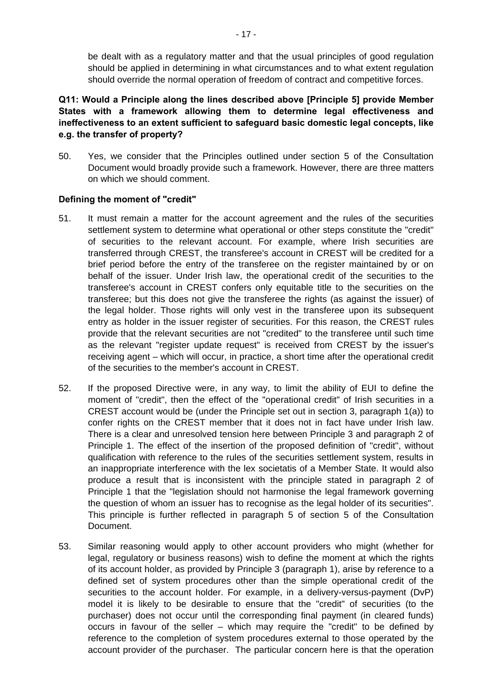be dealt with as a regulatory matter and that the usual principles of good regulation should be applied in determining in what circumstances and to what extent regulation should override the normal operation of freedom of contract and competitive forces.

**Q11: Would a Principle along the lines described above [Principle 5] provide Member States with a framework allowing them to determine legal effectiveness and ineffectiveness to an extent sufficient to safeguard basic domestic legal concepts, like e.g. the transfer of property?** 

50. Yes, we consider that the Principles outlined under section 5 of the Consultation Document would broadly provide such a framework. However, there are three matters on which we should comment.

#### **Defining the moment of "credit"**

- 51. It must remain a matter for the account agreement and the rules of the securities settlement system to determine what operational or other steps constitute the "credit" of securities to the relevant account. For example, where Irish securities are transferred through CREST, the transferee's account in CREST will be credited for a brief period before the entry of the transferee on the register maintained by or on behalf of the issuer. Under Irish law, the operational credit of the securities to the transferee's account in CREST confers only equitable title to the securities on the transferee; but this does not give the transferee the rights (as against the issuer) of the legal holder. Those rights will only vest in the transferee upon its subsequent entry as holder in the issuer register of securities. For this reason, the CREST rules provide that the relevant securities are not "credited" to the transferee until such time as the relevant "register update request" is received from CREST by the issuer's receiving agent – which will occur, in practice, a short time after the operational credit of the securities to the member's account in CREST.
- 52. If the proposed Directive were, in any way, to limit the ability of EUI to define the moment of "credit", then the effect of the "operational credit" of Irish securities in a CREST account would be (under the Principle set out in section 3, paragraph 1(a)) to confer rights on the CREST member that it does not in fact have under Irish law. There is a clear and unresolved tension here between Principle 3 and paragraph 2 of Principle 1. The effect of the insertion of the proposed definition of "credit", without qualification with reference to the rules of the securities settlement system, results in an inappropriate interference with the lex societatis of a Member State. It would also produce a result that is inconsistent with the principle stated in paragraph 2 of Principle 1 that the "legislation should not harmonise the legal framework governing the question of whom an issuer has to recognise as the legal holder of its securities". This principle is further reflected in paragraph 5 of section 5 of the Consultation Document.
- 53. Similar reasoning would apply to other account providers who might (whether for legal, regulatory or business reasons) wish to define the moment at which the rights of its account holder, as provided by Principle 3 (paragraph 1), arise by reference to a defined set of system procedures other than the simple operational credit of the securities to the account holder. For example, in a delivery-versus-payment (DvP) model it is likely to be desirable to ensure that the "credit" of securities (to the purchaser) does not occur until the corresponding final payment (in cleared funds) occurs in favour of the seller – which may require the "credit" to be defined by reference to the completion of system procedures external to those operated by the account provider of the purchaser. The particular concern here is that the operation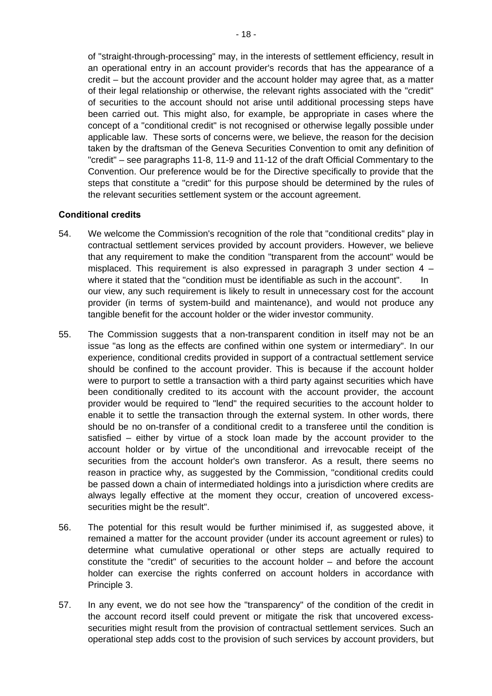of "straight-through-processing" may, in the interests of settlement efficiency, result in an operational entry in an account provider's records that has the appearance of a credit – but the account provider and the account holder may agree that, as a matter of their legal relationship or otherwise, the relevant rights associated with the "credit" of securities to the account should not arise until additional processing steps have been carried out. This might also, for example, be appropriate in cases where the concept of a "conditional credit" is not recognised or otherwise legally possible under applicable law. These sorts of concerns were, we believe, the reason for the decision taken by the draftsman of the Geneva Securities Convention to omit any definition of "credit" – see paragraphs 11-8, 11-9 and 11-12 of the draft Official Commentary to the Convention. Our preference would be for the Directive specifically to provide that the steps that constitute a "credit" for this purpose should be determined by the rules of the relevant securities settlement system or the account agreement.

#### **Conditional credits**

- 54. We welcome the Commission's recognition of the role that "conditional credits" play in contractual settlement services provided by account providers. However, we believe that any requirement to make the condition "transparent from the account" would be misplaced. This requirement is also expressed in paragraph 3 under section 4 – where it stated that the "condition must be identifiable as such in the account". In our view, any such requirement is likely to result in unnecessary cost for the account provider (in terms of system-build and maintenance), and would not produce any tangible benefit for the account holder or the wider investor community.
- <span id="page-17-0"></span>55. The Commission suggests that a non-transparent condition in itself may not be an issue "as long as the effects are confined within one system or intermediary". In our experience, conditional credits provided in support of a contractual settlement service should be confined to the account provider. This is because if the account holder were to purport to settle a transaction with a third party against securities which have been conditionally credited to its account with the account provider, the account provider would be required to "lend" the required securities to the account holder to enable it to settle the transaction through the external system. In other words, there should be no on-transfer of a conditional credit to a transferee until the condition is satisfied – either by virtue of a stock loan made by the account provider to the account holder or by virtue of the unconditional and irrevocable receipt of the securities from the account holder's own transferor. As a result, there seems no reason in practice why, as suggested by the Commission, "conditional credits could be passed down a chain of intermediated holdings into a jurisdiction where credits are always legally effective at the moment they occur, creation of uncovered excesssecurities might be the result".
- <span id="page-17-1"></span>56. The potential for this result would be further minimised if, as suggested above, it remained a matter for the account provider (under its account agreement or rules) to determine what cumulative operational or other steps are actually required to constitute the "credit" of securities to the account holder – and before the account holder can exercise the rights conferred on account holders in accordance with Principle 3.
- 57. In any event, we do not see how the "transparency" of the condition of the credit in the account record itself could prevent or mitigate the risk that uncovered excesssecurities might result from the provision of contractual settlement services. Such an operational step adds cost to the provision of such services by account providers, but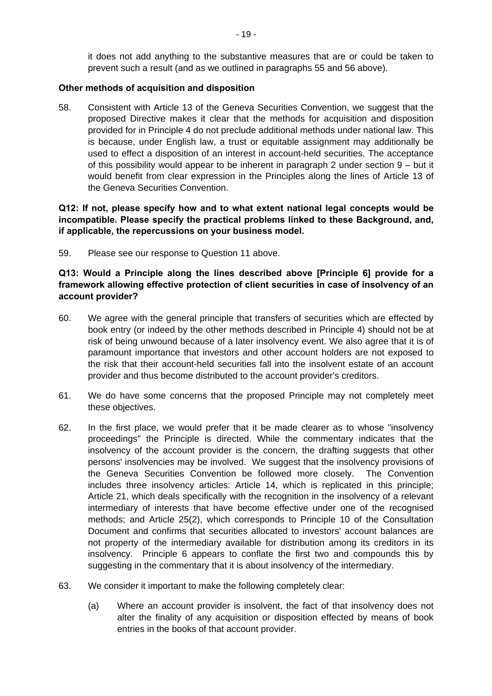it does not add anything to the substantive measures that are or could be taken to prevent such a result (and as we outlined in paragraphs [55](#page-17-0) and [56](#page-17-1) above).

#### **Other methods of acquisition and disposition**

58. Consistent with Article 13 of the Geneva Securities Convention, we suggest that the proposed Directive makes it clear that the methods for acquisition and disposition provided for in Principle 4 do not preclude additional methods under national law. This is because, under English law, a trust or equitable assignment may additionally be used to effect a disposition of an interest in account-held securities. The acceptance of this possibility would appear to be inherent in paragraph 2 under section 9 – but it would benefit from clear expression in the Principles along the lines of Article 13 of the Geneva Securities Convention.

#### **Q12: If not, please specify how and to what extent national legal concepts would be incompatible. Please specify the practical problems linked to these Background, and, if applicable, the repercussions on your business model.**

59. Please see our response to Question 11 above.

#### **Q13: Would a Principle along the lines described above [Principle 6] provide for a framework allowing effective protection of client securities in case of insolvency of an account provider?**

- 60. We agree with the general principle that transfers of securities which are effected by book entry (or indeed by the other methods described in Principle 4) should not be at risk of being unwound because of a later insolvency event. We also agree that it is of paramount importance that investors and other account holders are not exposed to the risk that their account-held securities fall into the insolvent estate of an account provider and thus become distributed to the account provider's creditors.
- 61. We do have some concerns that the proposed Principle may not completely meet these objectives.
- 62. In the first place, we would prefer that it be made clearer as to whose "insolvency proceedings" the Principle is directed. While the commentary indicates that the insolvency of the account provider is the concern, the drafting suggests that other persons' insolvencies may be involved. We suggest that the insolvency provisions of the Geneva Securities Convention be followed more closely. The Convention includes three insolvency articles: Article 14, which is replicated in this principle; Article 21, which deals specifically with the recognition in the insolvency of a relevant intermediary of interests that have become effective under one of the recognised methods; and Article 25(2), which corresponds to Principle 10 of the Consultation Document and confirms that securities allocated to investors' account balances are not property of the intermediary available for distribution among its creditors in its insolvency. Principle 6 appears to conflate the first two and compounds this by suggesting in the commentary that it is about insolvency of the intermediary.
- 63. We consider it important to make the following completely clear:
	- (a) Where an account provider is insolvent, the fact of that insolvency does not alter the finality of any acquisition or disposition effected by means of book entries in the books of that account provider.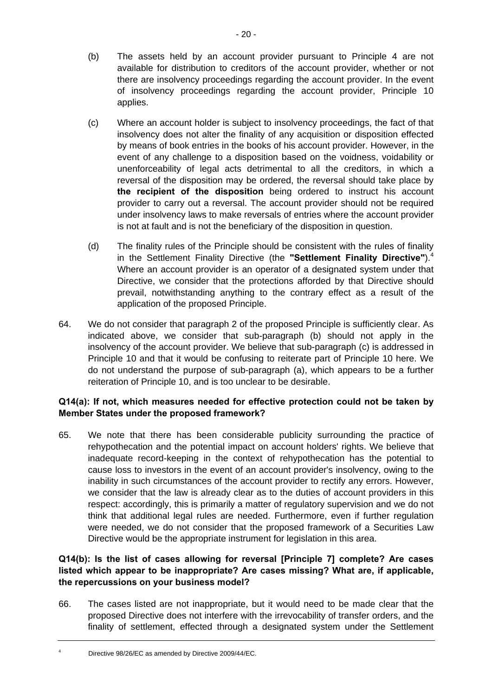- (b) The assets held by an account provider pursuant to Principle 4 are not available for distribution to creditors of the account provider, whether or not there are insolvency proceedings regarding the account provider. In the event of insolvency proceedings regarding the account provider, Principle 10 applies.
- (c) Where an account holder is subject to insolvency proceedings, the fact of that insolvency does not alter the finality of any acquisition or disposition effected by means of book entries in the books of his account provider. However, in the event of any challenge to a disposition based on the voidness, voidability or unenforceability of legal acts detrimental to all the creditors, in which a reversal of the disposition may be ordered, the reversal should take place by **the recipient of the disposition** being ordered to instruct his account provider to carry out a reversal. The account provider should not be required under insolvency laws to make reversals of entries where the account provider is not at fault and is not the beneficiary of the disposition in question.
- (d) The finality rules of the Principle should be consistent with the rules of finality in the Settlement Finality Directive (the **"Settlement Finality Directive"**).[4](#page-19-0) Where an account provider is an operator of a designated system under that Directive, we consider that the protections afforded by that Directive should prevail, notwithstanding anything to the contrary effect as a result of the application of the proposed Principle.
- 64. We do not consider that paragraph 2 of the proposed Principle is sufficiently clear. As indicated above, we consider that sub-paragraph (b) should not apply in the insolvency of the account provider. We believe that sub-paragraph (c) is addressed in Principle 10 and that it would be confusing to reiterate part of Principle 10 here. We do not understand the purpose of sub-paragraph (a), which appears to be a further reiteration of Principle 10, and is too unclear to be desirable.

# **Q14(a): If not, which measures needed for effective protection could not be taken by Member States under the proposed framework?**

65. We note that there has been considerable publicity surrounding the practice of rehypothecation and the potential impact on account holders' rights. We believe that inadequate record-keeping in the context of rehypothecation has the potential to cause loss to investors in the event of an account provider's insolvency, owing to the inability in such circumstances of the account provider to rectify any errors. However, we consider that the law is already clear as to the duties of account providers in this respect: accordingly, this is primarily a matter of regulatory supervision and we do not think that additional legal rules are needed. Furthermore, even if further regulation were needed, we do not consider that the proposed framework of a Securities Law Directive would be the appropriate instrument for legislation in this area.

# **Q14(b): Is the list of cases allowing for reversal [Principle 7] complete? Are cases listed which appear to be inappropriate? Are cases missing? What are, if applicable, the repercussions on your business model?**

- 66. The cases listed are not inappropriate, but it would need to be made clear that the proposed Directive does not interfere with the irrevocability of transfer orders, and the finality of settlement, effected through a designated system under the Settlement
- <span id="page-19-0"></span>Directive 98/26/EC as amended by Directive 2009/44/EC.

4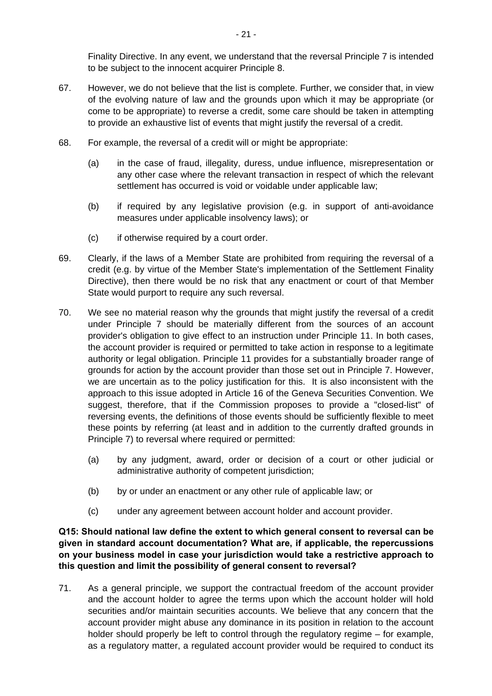Finality Directive. In any event, we understand that the reversal Principle 7 is intended to be subject to the innocent acquirer Principle 8.

- 67. However, we do not believe that the list is complete. Further, we consider that, in view of the evolving nature of law and the grounds upon which it may be appropriate (or come to be appropriate) to reverse a credit, some care should be taken in attempting to provide an exhaustive list of events that might justify the reversal of a credit.
- 68. For example, the reversal of a credit will or might be appropriate:
	- (a) in the case of fraud, illegality, duress, undue influence, misrepresentation or any other case where the relevant transaction in respect of which the relevant settlement has occurred is void or voidable under applicable law;
	- (b) if required by any legislative provision (e.g. in support of anti-avoidance measures under applicable insolvency laws); or
	- (c) if otherwise required by a court order.
- 69. Clearly, if the laws of a Member State are prohibited from requiring the reversal of a credit (e.g. by virtue of the Member State's implementation of the Settlement Finality Directive), then there would be no risk that any enactment or court of that Member State would purport to require any such reversal.
- 70. We see no material reason why the grounds that might justify the reversal of a credit under Principle 7 should be materially different from the sources of an account provider's obligation to give effect to an instruction under Principle 11. In both cases, the account provider is required or permitted to take action in response to a legitimate authority or legal obligation. Principle 11 provides for a substantially broader range of grounds for action by the account provider than those set out in Principle 7. However, we are uncertain as to the policy justification for this. It is also inconsistent with the approach to this issue adopted in Article 16 of the Geneva Securities Convention. We suggest, therefore, that if the Commission proposes to provide a "closed-list" of reversing events, the definitions of those events should be sufficiently flexible to meet these points by referring (at least and in addition to the currently drafted grounds in Principle 7) to reversal where required or permitted:
	- (a) by any judgment, award, order or decision of a court or other judicial or administrative authority of competent jurisdiction;
	- (b) by or under an enactment or any other rule of applicable law; or
	- (c) under any agreement between account holder and account provider.

**Q15: Should national law define the extent to which general consent to reversal can be given in standard account documentation? What are, if applicable, the repercussions on your business model in case your jurisdiction would take a restrictive approach to this question and limit the possibility of general consent to reversal?** 

71. As a general principle, we support the contractual freedom of the account provider and the account holder to agree the terms upon which the account holder will hold securities and/or maintain securities accounts. We believe that any concern that the account provider might abuse any dominance in its position in relation to the account holder should properly be left to control through the regulatory regime – for example, as a regulatory matter, a regulated account provider would be required to conduct its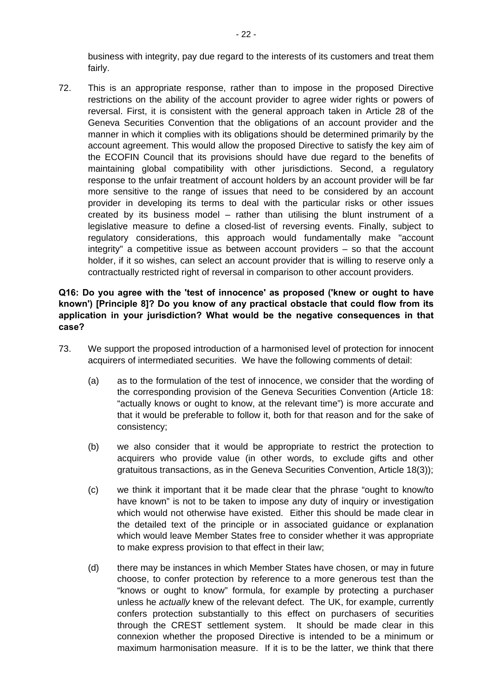business with integrity, pay due regard to the interests of its customers and treat them fairly.

72. This is an appropriate response, rather than to impose in the proposed Directive restrictions on the ability of the account provider to agree wider rights or powers of reversal. First, it is consistent with the general approach taken in Article 28 of the Geneva Securities Convention that the obligations of an account provider and the manner in which it complies with its obligations should be determined primarily by the account agreement. This would allow the proposed Directive to satisfy the key aim of the ECOFIN Council that its provisions should have due regard to the benefits of maintaining global compatibility with other jurisdictions. Second, a regulatory response to the unfair treatment of account holders by an account provider will be far more sensitive to the range of issues that need to be considered by an account provider in developing its terms to deal with the particular risks or other issues created by its business model – rather than utilising the blunt instrument of a legislative measure to define a closed-list of reversing events. Finally, subject to regulatory considerations, this approach would fundamentally make "account integrity" a competitive issue as between account providers – so that the account holder, if it so wishes, can select an account provider that is willing to reserve only a contractually restricted right of reversal in comparison to other account providers.

### **Q16: Do you agree with the 'test of innocence' as proposed ('knew or ought to have known') [Principle 8]? Do you know of any practical obstacle that could flow from its application in your jurisdiction? What would be the negative consequences in that case?**

- 73. We support the proposed introduction of a harmonised level of protection for innocent acquirers of intermediated securities. We have the following comments of detail:
	- (a) as to the formulation of the test of innocence, we consider that the wording of the corresponding provision of the Geneva Securities Convention (Article 18: "actually knows or ought to know, at the relevant time") is more accurate and that it would be preferable to follow it, both for that reason and for the sake of consistency;
	- (b) we also consider that it would be appropriate to restrict the protection to acquirers who provide value (in other words, to exclude gifts and other gratuitous transactions, as in the Geneva Securities Convention, Article 18(3));
	- (c) we think it important that it be made clear that the phrase "ought to know/to have known" is not to be taken to impose any duty of inquiry or investigation which would not otherwise have existed. Either this should be made clear in the detailed text of the principle or in associated guidance or explanation which would leave Member States free to consider whether it was appropriate to make express provision to that effect in their law;
	- (d) there may be instances in which Member States have chosen, or may in future choose, to confer protection by reference to a more generous test than the "knows or ought to know" formula, for example by protecting a purchaser unless he *actually* knew of the relevant defect. The UK, for example, currently confers protection substantially to this effect on purchasers of securities through the CREST settlement system. It should be made clear in this connexion whether the proposed Directive is intended to be a minimum or maximum harmonisation measure. If it is to be the latter, we think that there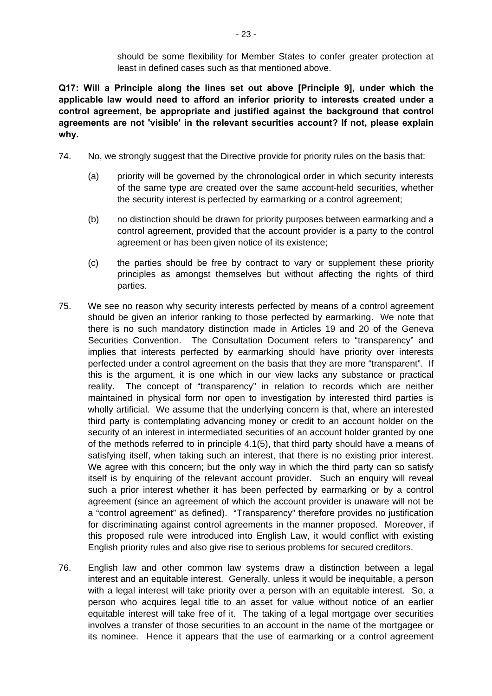should be some flexibility for Member States to confer greater protection at least in defined cases such as that mentioned above.

**Q17: Will a Principle along the lines set out above [Principle 9], under which the applicable law would need to afford an inferior priority to interests created under a control agreement, be appropriate and justified against the background that control agreements are not 'visible' in the relevant securities account? If not, please explain why.** 

- 74. No, we strongly suggest that the Directive provide for priority rules on the basis that:
	- (a) priority will be governed by the chronological order in which security interests of the same type are created over the same account-held securities, whether the security interest is perfected by earmarking or a control agreement;
	- (b) no distinction should be drawn for priority purposes between earmarking and a control agreement, provided that the account provider is a party to the control agreement or has been given notice of its existence;
	- (c) the parties should be free by contract to vary or supplement these priority principles as amongst themselves but without affecting the rights of third parties.
- 75. We see no reason why security interests perfected by means of a control agreement should be given an inferior ranking to those perfected by earmarking. We note that there is no such mandatory distinction made in Articles 19 and 20 of the Geneva Securities Convention. The Consultation Document refers to "transparency" and implies that interests perfected by earmarking should have priority over interests perfected under a control agreement on the basis that they are more "transparent". If this is the argument, it is one which in our view lacks any substance or practical reality. The concept of "transparency" in relation to records which are neither maintained in physical form nor open to investigation by interested third parties is wholly artificial. We assume that the underlying concern is that, where an interested third party is contemplating advancing money or credit to an account holder on the security of an interest in intermediated securities of an account holder granted by one of the methods referred to in principle 4.1(5), that third party should have a means of satisfying itself, when taking such an interest, that there is no existing prior interest. We agree with this concern; but the only way in which the third party can so satisfy itself is by enquiring of the relevant account provider. Such an enquiry will reveal such a prior interest whether it has been perfected by earmarking or by a control agreement (since an agreement of which the account provider is unaware will not be a "control agreement" as defined). "Transparency" therefore provides no justification for discriminating against control agreements in the manner proposed. Moreover, if this proposed rule were introduced into English Law, it would conflict with existing English priority rules and also give rise to serious problems for secured creditors.
- 76. English law and other common law systems draw a distinction between a legal interest and an equitable interest. Generally, unless it would be inequitable, a person with a legal interest will take priority over a person with an equitable interest. So, a person who acquires legal title to an asset for value without notice of an earlier equitable interest will take free of it. The taking of a legal mortgage over securities involves a transfer of those securities to an account in the name of the mortgagee or its nominee. Hence it appears that the use of earmarking or a control agreement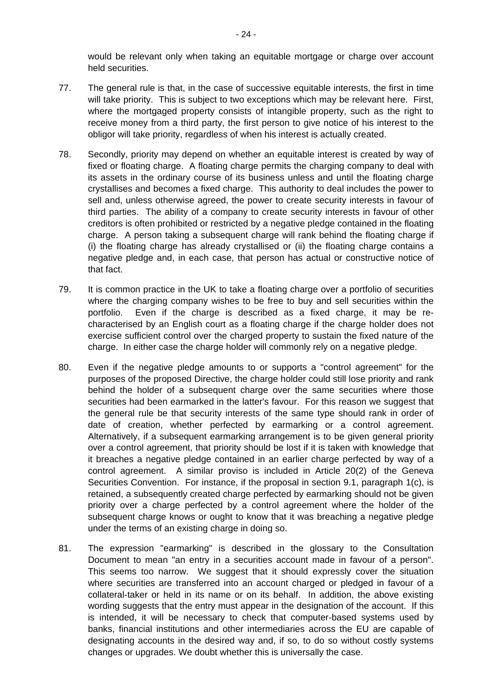would be relevant only when taking an equitable mortgage or charge over account held securities.

- 77. The general rule is that, in the case of successive equitable interests, the first in time will take priority. This is subject to two exceptions which may be relevant here. First, where the mortgaged property consists of intangible property, such as the right to receive money from a third party, the first person to give notice of his interest to the obligor will take priority, regardless of when his interest is actually created.
- 78. Secondly, priority may depend on whether an equitable interest is created by way of fixed or floating charge. A floating charge permits the charging company to deal with its assets in the ordinary course of its business unless and until the floating charge crystallises and becomes a fixed charge. This authority to deal includes the power to sell and, unless otherwise agreed, the power to create security interests in favour of third parties. The ability of a company to create security interests in favour of other creditors is often prohibited or restricted by a negative pledge contained in the floating charge. A person taking a subsequent charge will rank behind the floating charge if (i) the floating charge has already crystallised or (ii) the floating charge contains a negative pledge and, in each case, that person has actual or constructive notice of that fact.
- 79. It is common practice in the UK to take a floating charge over a portfolio of securities where the charging company wishes to be free to buy and sell securities within the portfolio. Even if the charge is described as a fixed charge, it may be recharacterised by an English court as a floating charge if the charge holder does not exercise sufficient control over the charged property to sustain the fixed nature of the charge. In either case the charge holder will commonly rely on a negative pledge.
- 80. Even if the negative pledge amounts to or supports a "control agreement" for the purposes of the proposed Directive, the charge holder could still lose priority and rank behind the holder of a subsequent charge over the same securities where those securities had been earmarked in the latter's favour. For this reason we suggest that the general rule be that security interests of the same type should rank in order of date of creation, whether perfected by earmarking or a control agreement. Alternatively, if a subsequent earmarking arrangement is to be given general priority over a control agreement, that priority should be lost if it is taken with knowledge that it breaches a negative pledge contained in an earlier charge perfected by way of a control agreement. A similar proviso is included in Article 20(2) of the Geneva Securities Convention. For instance, if the proposal in section 9.1, paragraph 1(c), is retained, a subsequently created charge perfected by earmarking should not be given priority over a charge perfected by a control agreement where the holder of the subsequent charge knows or ought to know that it was breaching a negative pledge under the terms of an existing charge in doing so.
- 81. The expression "earmarking" is described in the glossary to the Consultation Document to mean "an entry in a securities account made in favour of a person". This seems too narrow. We suggest that it should expressly cover the situation where securities are transferred into an account charged or pledged in favour of a collateral-taker or held in its name or on its behalf. In addition, the above existing wording suggests that the entry must appear in the designation of the account. If this is intended, it will be necessary to check that computer-based systems used by banks, financial institutions and other intermediaries across the EU are capable of designating accounts in the desired way and, if so, to do so without costly systems changes or upgrades. We doubt whether this is universally the case.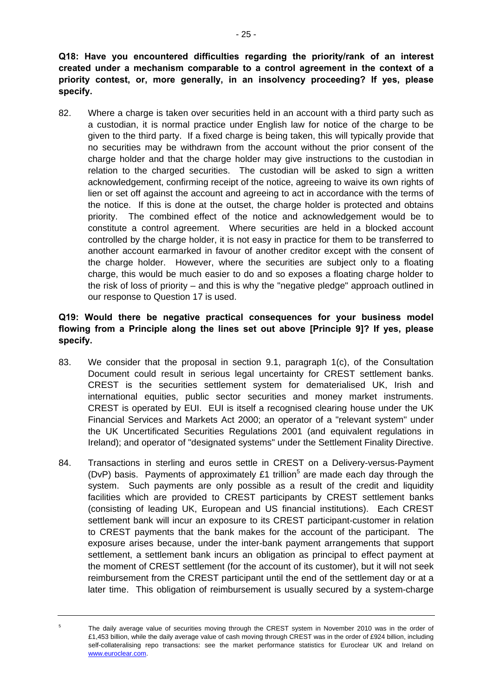**Q18: Have you encountered difficulties regarding the priority/rank of an interest created under a mechanism comparable to a control agreement in the context of a priority contest, or, more generally, in an insolvency proceeding? If yes, please specify.** 

82. Where a charge is taken over securities held in an account with a third party such as a custodian, it is normal practice under English law for notice of the charge to be given to the third party. If a fixed charge is being taken, this will typically provide that no securities may be withdrawn from the account without the prior consent of the charge holder and that the charge holder may give instructions to the custodian in relation to the charged securities. The custodian will be asked to sign a written acknowledgement, confirming receipt of the notice, agreeing to waive its own rights of lien or set off against the account and agreeing to act in accordance with the terms of the notice. If this is done at the outset, the charge holder is protected and obtains priority. The combined effect of the notice and acknowledgement would be to constitute a control agreement. Where securities are held in a blocked account controlled by the charge holder, it is not easy in practice for them to be transferred to another account earmarked in favour of another creditor except with the consent of the charge holder. However, where the securities are subject only to a floating charge, this would be much easier to do and so exposes a floating charge holder to the risk of loss of priority – and this is why the "negative pledge" approach outlined in our response to Question 17 is used.

# **Q19: Would there be negative practical consequences for your business model flowing from a Principle along the lines set out above [Principle 9]? If yes, please specify.**

- 83. We consider that the proposal in section 9.1, paragraph 1(c), of the Consultation Document could result in serious legal uncertainty for CREST settlement banks. CREST is the securities settlement system for dematerialised UK, Irish and international equities, public sector securities and money market instruments. CREST is operated by EUI. EUI is itself a recognised clearing house under the UK Financial Services and Markets Act 2000; an operator of a "relevant system" under the UK Uncertificated Securities Regulations 2001 (and equivalent regulations in Ireland); and operator of "designated systems" under the Settlement Finality Directive.
- 84. Transactions in sterling and euros settle in CREST on a Delivery-versus-Payment (DvP) basis. Payments of approximately  $£1$  trillion<sup>[5](#page-24-0)</sup> are made each day through the system. Such payments are only possible as a result of the credit and liquidity facilities which are provided to CREST participants by CREST settlement banks (consisting of leading UK, European and US financial institutions). Each CREST settlement bank will incur an exposure to its CREST participant-customer in relation to CREST payments that the bank makes for the account of the participant. The exposure arises because, under the inter-bank payment arrangements that support settlement, a settlement bank incurs an obligation as principal to effect payment at the moment of CREST settlement (for the account of its customer), but it will not seek reimbursement from the CREST participant until the end of the settlement day or at a later time. This obligation of reimbursement is usually secured by a system-charge

<span id="page-24-0"></span><sup>5</sup> The daily average value of securities moving through the CREST system in November 2010 was in the order of £1,453 billion, while the daily average value of cash moving through CREST was in the order of £924 billion, including self-collateralising repo transactions: see the market performance statistics for Euroclear UK and Ireland on [www.euroclear.com.](http://www.euroclear.com/)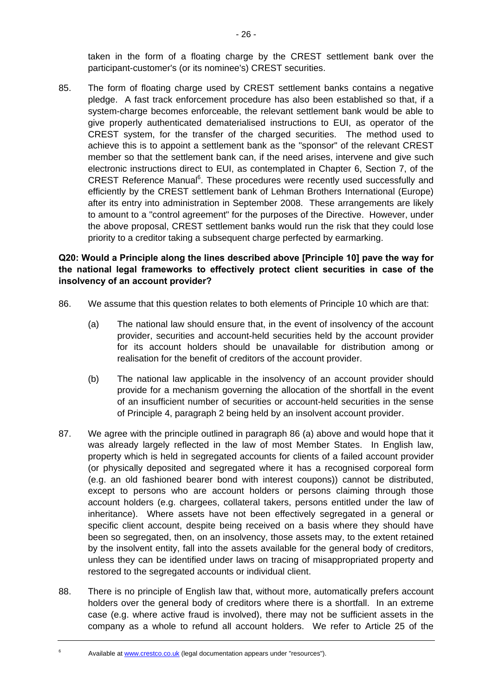taken in the form of a floating charge by the CREST settlement bank over the participant-customer's (or its nominee's) CREST securities.

85. The form of floating charge used by CREST settlement banks contains a negative pledge. A fast track enforcement procedure has also been established so that, if a system-charge becomes enforceable, the relevant settlement bank would be able to give properly authenticated dematerialised instructions to EUI, as operator of the CREST system, for the transfer of the charged securities. The method used to achieve this is to appoint a settlement bank as the "sponsor" of the relevant CREST member so that the settlement bank can, if the need arises, intervene and give such electronic instructions direct to EUI, as contemplated in Chapter 6, Section 7, of the CREST Reference Manual<sup>[6](#page-25-2)</sup>. These procedures were recently used successfully and efficiently by the CREST settlement bank of Lehman Brothers International (Europe) after its entry into administration in September 2008. These arrangements are likely to amount to a "control agreement" for the purposes of the Directive. However, under the above proposal, CREST settlement banks would run the risk that they could lose priority to a creditor taking a subsequent charge perfected by earmarking.

### **Q20: Would a Principle along the lines described above [Principle 10] pave the way for the national legal frameworks to effectively protect client securities in case of the insolvency of an account provider?**

- <span id="page-25-1"></span><span id="page-25-0"></span>86. We assume that this question relates to both elements of Principle 10 which are that:
	- (a) The national law should ensure that, in the event of insolvency of the account provider, securities and account-held securities held by the account provider for its account holders should be unavailable for distribution among or realisation for the benefit of creditors of the account provider.
	- (b) The national law applicable in the insolvency of an account provider should provide for a mechanism governing the allocation of the shortfall in the event of an insufficient number of securities or account-held securities in the sense of Principle 4, paragraph 2 being held by an insolvent account provider.
- <span id="page-25-3"></span>87. We agree with the principle outlined in paragraph [86](#page-25-0) [\(a\)](#page-25-1) above and would hope that it was already largely reflected in the law of most Member States. In English law, property which is held in segregated accounts for clients of a failed account provider (or physically deposited and segregated where it has a recognised corporeal form (e.g. an old fashioned bearer bond with interest coupons)) cannot be distributed, except to persons who are account holders or persons claiming through those account holders (e.g. chargees, collateral takers, persons entitled under the law of inheritance). Where assets have not been effectively segregated in a general or specific client account, despite being received on a basis where they should have been so segregated, then, on an insolvency, those assets may, to the extent retained by the insolvent entity, fall into the assets available for the general body of creditors, unless they can be identified under laws on tracing of misappropriated property and restored to the segregated accounts or individual client.
- 88. There is no principle of English law that, without more, automatically prefers account holders over the general body of creditors where there is a shortfall. In an extreme case (e.g. where active fraud is involved), there may not be sufficient assets in the company as a whole to refund all account holders. We refer to Article 25 of the
	- Available at [www.crestco.co.uk](http://www.crestco.co.uk/) (legal documentation appears under "resources").

<span id="page-25-2"></span>6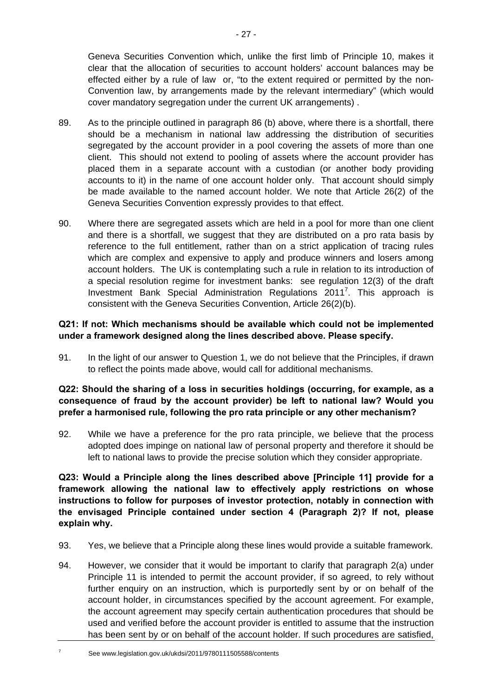Geneva Securities Convention which, unlike the first limb of Principle 10, makes it clear that the allocation of securities to account holders' account balances may be effected either by a rule of law or, "to the extent required or permitted by the non-Convention law, by arrangements made by the relevant intermediary" (which would cover mandatory segregation under the current UK arrangements) .

- 89. As to the principle outlined in paragraph [86](#page-25-0) [\(b\)](#page-25-3) above, where there is a shortfall, there should be a mechanism in national law addressing the distribution of securities segregated by the account provider in a pool covering the assets of more than one client. This should not extend to pooling of assets where the account provider has placed them in a separate account with a custodian (or another body providing accounts to it) in the name of one account holder only. That account should simply be made available to the named account holder*.* We note that Article 26(2) of the Geneva Securities Convention expressly provides to that effect.
- 90. Where there are segregated assets which are held in a pool for more than one client and there is a shortfall, we suggest that they are distributed on a pro rata basis by reference to the full entitlement, rather than on a strict application of tracing rules which are complex and expensive to apply and produce winners and losers among account holders. The UK is contemplating such a rule in relation to its introduction of a special resolution regime for investment banks: see regulation 12(3) of the draft Investment Bank Special Administration Regulations 2011<sup>[7](#page-26-0)</sup>. This approach is consistent with the Geneva Securities Convention, Article 26(2)(b).

# **Q21: If not: Which mechanisms should be available which could not be implemented under a framework designed along the lines described above. Please specify.**

91. In the light of our answer to Question 1, we do not believe that the Principles, if drawn to reflect the points made above, would call for additional mechanisms.

#### **Q22: Should the sharing of a loss in securities holdings (occurring, for example, as a consequence of fraud by the account provider) be left to national law? Would you prefer a harmonised rule, following the pro rata principle or any other mechanism?**

92. While we have a preference for the pro rata principle, we believe that the process adopted does impinge on national law of personal property and therefore it should be left to national laws to provide the precise solution which they consider appropriate.

**Q23: Would a Principle along the lines described above [Principle 11] provide for a framework allowing the national law to effectively apply restrictions on whose instructions to follow for purposes of investor protection, notably in connection with the envisaged Principle contained under section 4 (Paragraph 2)? If not, please explain why.** 

- 93. Yes, we believe that a Principle along these lines would provide a suitable framework.
- 94. However, we consider that it would be important to clarify that paragraph 2(a) under Principle 11 is intended to permit the account provider, if so agreed, to rely without further enquiry on an instruction, which is purportedly sent by or on behalf of the account holder, in circumstances specified by the account agreement. For example, the account agreement may specify certain authentication procedures that should be used and verified before the account provider is entitled to assume that the instruction has been sent by or on behalf of the account holder. If such procedures are satisfied,
	- See www.legislation.gov.uk/ukdsi/2011/9780111505588/contents

<span id="page-26-0"></span>7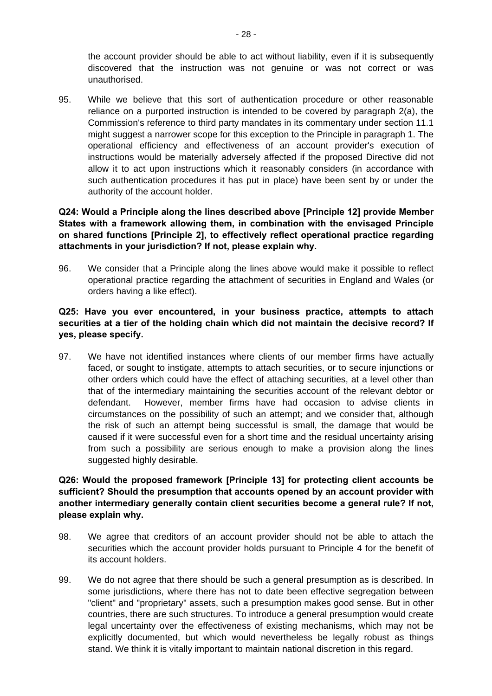the account provider should be able to act without liability, even if it is subsequently discovered that the instruction was not genuine or was not correct or was unauthorised.

95. While we believe that this sort of authentication procedure or other reasonable reliance on a purported instruction is intended to be covered by paragraph 2(a), the Commission's reference to third party mandates in its commentary under section 11.1 might suggest a narrower scope for this exception to the Principle in paragraph 1. The operational efficiency and effectiveness of an account provider's execution of instructions would be materially adversely affected if the proposed Directive did not allow it to act upon instructions which it reasonably considers (in accordance with such authentication procedures it has put in place) have been sent by or under the authority of the account holder.

### **Q24: Would a Principle along the lines described above [Principle 12] provide Member States with a framework allowing them, in combination with the envisaged Principle on shared functions [Principle 2], to effectively reflect operational practice regarding attachments in your jurisdiction? If not, please explain why.**

96. We consider that a Principle along the lines above would make it possible to reflect operational practice regarding the attachment of securities in England and Wales (or orders having a like effect).

# **Q25: Have you ever encountered, in your business practice, attempts to attach securities at a tier of the holding chain which did not maintain the decisive record? If yes, please specify.**

97. We have not identified instances where clients of our member firms have actually faced, or sought to instigate, attempts to attach securities, or to secure injunctions or other orders which could have the effect of attaching securities, at a level other than that of the intermediary maintaining the securities account of the relevant debtor or defendant. However, member firms have had occasion to advise clients in circumstances on the possibility of such an attempt; and we consider that, although the risk of such an attempt being successful is small, the damage that would be caused if it were successful even for a short time and the residual uncertainty arising from such a possibility are serious enough to make a provision along the lines suggested highly desirable.

### **Q26: Would the proposed framework [Principle 13] for protecting client accounts be sufficient? Should the presumption that accounts opened by an account provider with another intermediary generally contain client securities become a general rule? If not, please explain why.**

- 98. We agree that creditors of an account provider should not be able to attach the securities which the account provider holds pursuant to Principle 4 for the benefit of its account holders.
- 99. We do not agree that there should be such a general presumption as is described. In some jurisdictions, where there has not to date been effective segregation between "client" and "proprietary" assets, such a presumption makes good sense. But in other countries, there are such structures. To introduce a general presumption would create legal uncertainty over the effectiveness of existing mechanisms, which may not be explicitly documented, but which would nevertheless be legally robust as things stand. We think it is vitally important to maintain national discretion in this regard.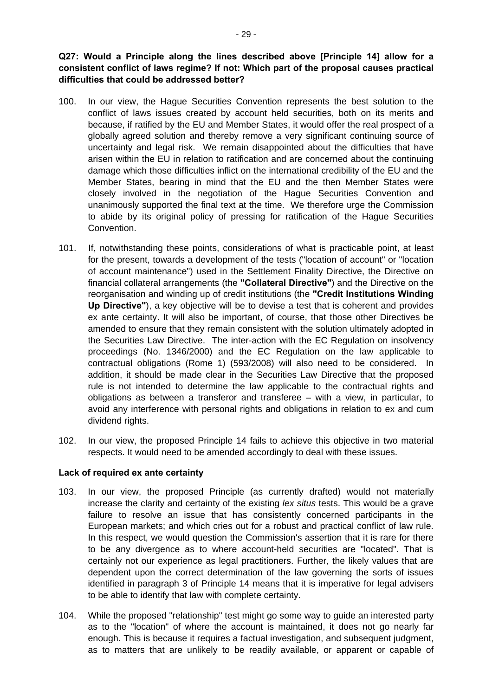**Q27: Would a Principle along the lines described above [Principle 14] allow for a consistent conflict of laws regime? If not: Which part of the proposal causes practical difficulties that could be addressed better?** 

- 100. In our view, the Hague Securities Convention represents the best solution to the conflict of laws issues created by account held securities, both on its merits and because, if ratified by the EU and Member States, it would offer the real prospect of a globally agreed solution and thereby remove a very significant continuing source of uncertainty and legal risk. We remain disappointed about the difficulties that have arisen within the EU in relation to ratification and are concerned about the continuing damage which those difficulties inflict on the international credibility of the EU and the Member States, bearing in mind that the EU and the then Member States were closely involved in the negotiation of the Hague Securities Convention and unanimously supported the final text at the time. We therefore urge the Commission to abide by its original policy of pressing for ratification of the Hague Securities Convention.
- 101. If, notwithstanding these points, considerations of what is practicable point, at least for the present, towards a development of the tests ("location of account" or "location of account maintenance") used in the Settlement Finality Directive, the Directive on financial collateral arrangements (the **"Collateral Directive"**) and the Directive on the reorganisation and winding up of credit institutions (the **"Credit Institutions Winding Up Directive"**), a key objective will be to devise a test that is coherent and provides ex ante certainty. It will also be important, of course, that those other Directives be amended to ensure that they remain consistent with the solution ultimately adopted in the Securities Law Directive. The inter-action with the EC Regulation on insolvency proceedings (No. 1346/2000) and the EC Regulation on the law applicable to contractual obligations (Rome 1) (593/2008) will also need to be considered. In addition, it should be made clear in the Securities Law Directive that the proposed rule is not intended to determine the law applicable to the contractual rights and obligations as between a transferor and transferee – with a view, in particular, to avoid any interference with personal rights and obligations in relation to ex and cum dividend rights.
- 102. In our view, the proposed Principle 14 fails to achieve this objective in two material respects. It would need to be amended accordingly to deal with these issues.

#### **Lack of required ex ante certainty**

- 103. In our view, the proposed Principle (as currently drafted) would not materially increase the clarity and certainty of the existing *lex situs* tests. This would be a grave failure to resolve an issue that has consistently concerned participants in the European markets; and which cries out for a robust and practical conflict of law rule. In this respect, we would question the Commission's assertion that it is rare for there to be any divergence as to where account-held securities are "located". That is certainly not our experience as legal practitioners. Further, the likely values that are dependent upon the correct determination of the law governing the sorts of issues identified in paragraph 3 of Principle 14 means that it is imperative for legal advisers to be able to identify that law with complete certainty.
- 104. While the proposed "relationship" test might go some way to guide an interested party as to the "location" of where the account is maintained, it does not go nearly far enough. This is because it requires a factual investigation, and subsequent judgment, as to matters that are unlikely to be readily available, or apparent or capable of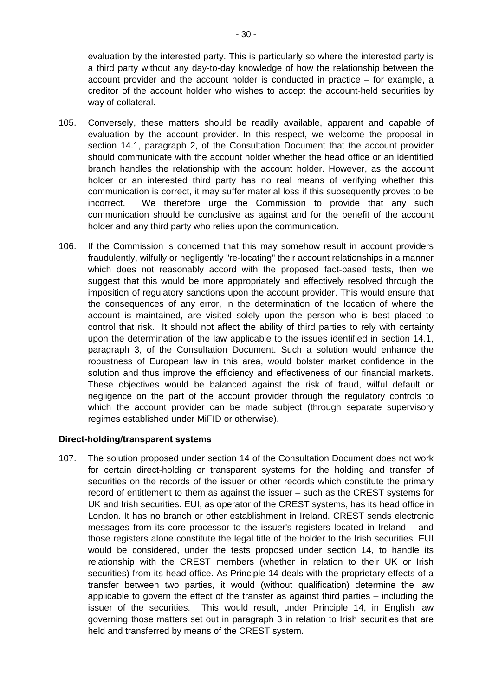evaluation by the interested party. This is particularly so where the interested party is a third party without any day-to-day knowledge of how the relationship between the account provider and the account holder is conducted in practice – for example, a creditor of the account holder who wishes to accept the account-held securities by way of collateral.

- 105. Conversely, these matters should be readily available, apparent and capable of evaluation by the account provider. In this respect, we welcome the proposal in section 14.1, paragraph 2, of the Consultation Document that the account provider should communicate with the account holder whether the head office or an identified branch handles the relationship with the account holder. However, as the account holder or an interested third party has no real means of verifying whether this communication is correct, it may suffer material loss if this subsequently proves to be incorrect. We therefore urge the Commission to provide that any such communication should be conclusive as against and for the benefit of the account holder and any third party who relies upon the communication.
- 106. If the Commission is concerned that this may somehow result in account providers fraudulently, wilfully or negligently "re-locating" their account relationships in a manner which does not reasonably accord with the proposed fact-based tests, then we suggest that this would be more appropriately and effectively resolved through the imposition of regulatory sanctions upon the account provider. This would ensure that the consequences of any error, in the determination of the location of where the account is maintained, are visited solely upon the person who is best placed to control that risk. It should not affect the ability of third parties to rely with certainty upon the determination of the law applicable to the issues identified in section 14.1, paragraph 3, of the Consultation Document. Such a solution would enhance the robustness of European law in this area, would bolster market confidence in the solution and thus improve the efficiency and effectiveness of our financial markets. These objectives would be balanced against the risk of fraud, wilful default or negligence on the part of the account provider through the regulatory controls to which the account provider can be made subject (through separate supervisory regimes established under MiFID or otherwise).

#### **Direct-holding/transparent systems**

107. The solution proposed under section 14 of the Consultation Document does not work for certain direct-holding or transparent systems for the holding and transfer of securities on the records of the issuer or other records which constitute the primary record of entitlement to them as against the issuer – such as the CREST systems for UK and Irish securities. EUI, as operator of the CREST systems, has its head office in London. It has no branch or other establishment in Ireland. CREST sends electronic messages from its core processor to the issuer's registers located in Ireland – and those registers alone constitute the legal title of the holder to the Irish securities. EUI would be considered, under the tests proposed under section 14, to handle its relationship with the CREST members (whether in relation to their UK or Irish securities) from its head office. As Principle 14 deals with the proprietary effects of a transfer between two parties, it would (without qualification) determine the law applicable to govern the effect of the transfer as against third parties – including the issuer of the securities. This would result, under Principle 14, in English law governing those matters set out in paragraph 3 in relation to Irish securities that are held and transferred by means of the CREST system.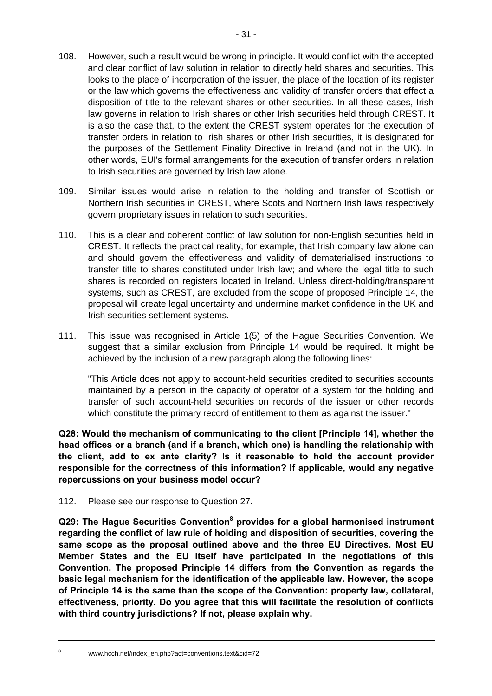- 108. However, such a result would be wrong in principle. It would conflict with the accepted and clear conflict of law solution in relation to directly held shares and securities. This looks to the place of incorporation of the issuer, the place of the location of its register or the law which governs the effectiveness and validity of transfer orders that effect a disposition of title to the relevant shares or other securities. In all these cases, Irish law governs in relation to Irish shares or other Irish securities held through CREST. It is also the case that, to the extent the CREST system operates for the execution of transfer orders in relation to Irish shares or other Irish securities, it is designated for the purposes of the Settlement Finality Directive in Ireland (and not in the UK). In other words, EUI's formal arrangements for the execution of transfer orders in relation to Irish securities are governed by Irish law alone.
- 109. Similar issues would arise in relation to the holding and transfer of Scottish or Northern Irish securities in CREST, where Scots and Northern Irish laws respectively govern proprietary issues in relation to such securities.
- 110. This is a clear and coherent conflict of law solution for non-English securities held in CREST. It reflects the practical reality, for example, that Irish company law alone can and should govern the effectiveness and validity of dematerialised instructions to transfer title to shares constituted under Irish law; and where the legal title to such shares is recorded on registers located in Ireland. Unless direct-holding/transparent systems, such as CREST, are excluded from the scope of proposed Principle 14, the proposal will create legal uncertainty and undermine market confidence in the UK and Irish securities settlement systems.
- 111. This issue was recognised in Article 1(5) of the Hague Securities Convention. We suggest that a similar exclusion from Principle 14 would be required. It might be achieved by the inclusion of a new paragraph along the following lines:

"This Article does not apply to account-held securities credited to securities accounts maintained by a person in the capacity of operator of a system for the holding and transfer of such account-held securities on records of the issuer or other records which constitute the primary record of entitlement to them as against the issuer."

**Q28: Would the mechanism of communicating to the client [Principle 14], whether the head offices or a branch (and if a branch, which one) is handling the relationship with the client, add to ex ante clarity? Is it reasonable to hold the account provider responsible for the correctness of this information? If applicable, would any negative repercussions on your business model occur?** 

112. Please see our response to Question 27.

**Q29: The Hague Securities Convention[8](#page-30-0) provides for a global harmonised instrument regarding the conflict of law rule of holding and disposition of securities, covering the same scope as the proposal outlined above and the three EU Directives. Most EU Member States and the EU itself have participated in the negotiations of this Convention. The proposed Principle 14 differs from the Convention as regards the basic legal mechanism for the identification of the applicable law. However, the scope of Principle 14 is the same than the scope of the Convention: property law, collateral, effectiveness, priority. Do you agree that this will facilitate the resolution of conflicts with third country jurisdictions? If not, please explain why.** 

<span id="page-30-0"></span>8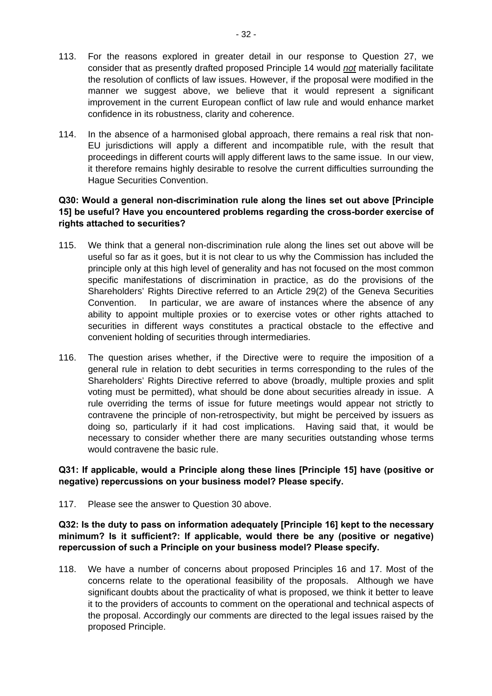- 113. For the reasons explored in greater detail in our response to Question 27, we consider that as presently drafted proposed Principle 14 would *not* materially facilitate the resolution of conflicts of law issues. However, if the proposal were modified in the manner we suggest above, we believe that it would represent a significant improvement in the current European conflict of law rule and would enhance market confidence in its robustness, clarity and coherence.
- 114. In the absence of a harmonised global approach, there remains a real risk that non-EU jurisdictions will apply a different and incompatible rule, with the result that proceedings in different courts will apply different laws to the same issue. In our view, it therefore remains highly desirable to resolve the current difficulties surrounding the Hague Securities Convention.

#### **Q30: Would a general non-discrimination rule along the lines set out above [Principle 15] be useful? Have you encountered problems regarding the cross-border exercise of rights attached to securities?**

- 115. We think that a general non-discrimination rule along the lines set out above will be useful so far as it goes, but it is not clear to us why the Commission has included the principle only at this high level of generality and has not focused on the most common specific manifestations of discrimination in practice, as do the provisions of the Shareholders' Rights Directive referred to an Article 29(2) of the Geneva Securities Convention. In particular, we are aware of instances where the absence of any ability to appoint multiple proxies or to exercise votes or other rights attached to securities in different ways constitutes a practical obstacle to the effective and convenient holding of securities through intermediaries.
- 116. The question arises whether, if the Directive were to require the imposition of a general rule in relation to debt securities in terms corresponding to the rules of the Shareholders' Rights Directive referred to above (broadly, multiple proxies and split voting must be permitted), what should be done about securities already in issue. A rule overriding the terms of issue for future meetings would appear not strictly to contravene the principle of non-retrospectivity, but might be perceived by issuers as doing so, particularly if it had cost implications. Having said that, it would be necessary to consider whether there are many securities outstanding whose terms would contravene the basic rule.

# **Q31: If applicable, would a Principle along these lines [Principle 15] have (positive or negative) repercussions on your business model? Please specify.**

117. Please see the answer to Question 30 above.

**Q32: Is the duty to pass on information adequately [Principle 16] kept to the necessary minimum? Is it sufficient?: If applicable, would there be any (positive or negative) repercussion of such a Principle on your business model? Please specify.** 

118. We have a number of concerns about proposed Principles 16 and 17. Most of the concerns relate to the operational feasibility of the proposals. Although we have significant doubts about the practicality of what is proposed, we think it better to leave it to the providers of accounts to comment on the operational and technical aspects of the proposal. Accordingly our comments are directed to the legal issues raised by the proposed Principle.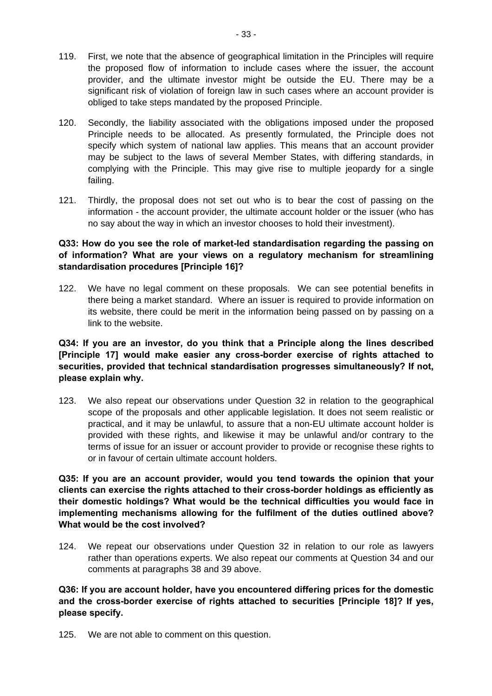- 119. First, we note that the absence of geographical limitation in the Principles will require the proposed flow of information to include cases where the issuer, the account provider, and the ultimate investor might be outside the EU. There may be a significant risk of violation of foreign law in such cases where an account provider is obliged to take steps mandated by the proposed Principle.
- 120. Secondly, the liability associated with the obligations imposed under the proposed Principle needs to be allocated. As presently formulated, the Principle does not specify which system of national law applies. This means that an account provider may be subject to the laws of several Member States, with differing standards, in complying with the Principle. This may give rise to multiple jeopardy for a single failing.
- 121. Thirdly, the proposal does not set out who is to bear the cost of passing on the information - the account provider, the ultimate account holder or the issuer (who has no say about the way in which an investor chooses to hold their investment).

### **Q33: How do you see the role of market-led standardisation regarding the passing on of information? What are your views on a regulatory mechanism for streamlining standardisation procedures [Principle 16]?**

122. We have no legal comment on these proposals. We can see potential benefits in there being a market standard. Where an issuer is required to provide information on its website, there could be merit in the information being passed on by passing on a link to the website.

### **Q34: If you are an investor, do you think that a Principle along the lines described [Principle 17] would make easier any cross-border exercise of rights attached to securities, provided that technical standardisation progresses simultaneously? If not, please explain why.**

123. We also repeat our observations under Question 32 in relation to the geographical scope of the proposals and other applicable legislation. It does not seem realistic or practical, and it may be unlawful, to assure that a non-EU ultimate account holder is provided with these rights, and likewise it may be unlawful and/or contrary to the terms of issue for an issuer or account provider to provide or recognise these rights to or in favour of certain ultimate account holders.

**Q35: If you are an account provider, would you tend towards the opinion that your clients can exercise the rights attached to their cross-border holdings as efficiently as their domestic holdings? What would be the technical difficulties you would face in implementing mechanisms allowing for the fulfilment of the duties outlined above? What would be the cost involved?** 

124. We repeat our observations under Question 32 in relation to our role as lawyers rather than operations experts. We also repeat our comments at Question 34 and our comments at paragraphs [38](#page-12-0) and [39](#page-12-1) above.

**Q36: If you are account holder, have you encountered differing prices for the domestic and the cross-border exercise of rights attached to securities [Principle 18]? If yes, please specify.** 

125. We are not able to comment on this question.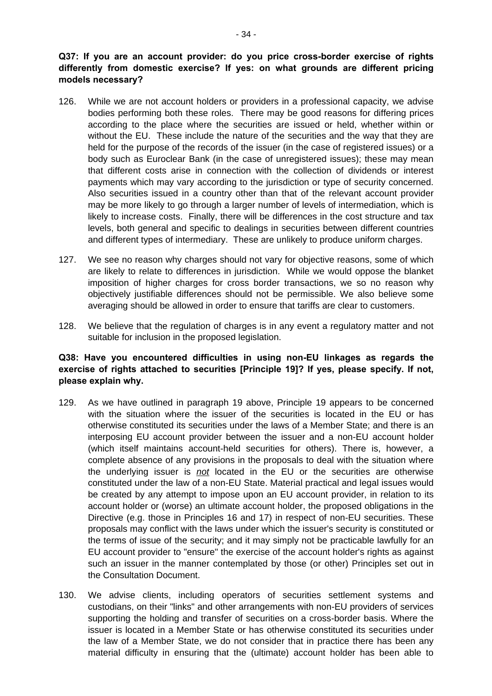### **Q37: If you are an account provider: do you price cross-border exercise of rights differently from domestic exercise? If yes: on what grounds are different pricing models necessary?**

- 126. While we are not account holders or providers in a professional capacity, we advise bodies performing both these roles. There may be good reasons for differing prices according to the place where the securities are issued or held, whether within or without the EU. These include the nature of the securities and the way that they are held for the purpose of the records of the issuer (in the case of registered issues) or a body such as Euroclear Bank (in the case of unregistered issues); these may mean that different costs arise in connection with the collection of dividends or interest payments which may vary according to the jurisdiction or type of security concerned. Also securities issued in a country other than that of the relevant account provider may be more likely to go through a larger number of levels of intermediation, which is likely to increase costs. Finally, there will be differences in the cost structure and tax levels, both general and specific to dealings in securities between different countries and different types of intermediary. These are unlikely to produce uniform charges.
- 127. We see no reason why charges should not vary for objective reasons, some of which are likely to relate to differences in jurisdiction. While we would oppose the blanket imposition of higher charges for cross border transactions, we so no reason why objectively justifiable differences should not be permissible. We also believe some averaging should be allowed in order to ensure that tariffs are clear to customers.
- 128. We believe that the regulation of charges is in any event a regulatory matter and not suitable for inclusion in the proposed legislation.

#### **Q38: Have you encountered difficulties in using non-EU linkages as regards the exercise of rights attached to securities [Principle 19]? If yes, please specify. If not, please explain why.**

- 129. As we have outlined in paragraph [19](#page-5-0) above, Principle 19 appears to be concerned with the situation where the issuer of the securities is located in the EU or has otherwise constituted its securities under the laws of a Member State; and there is an interposing EU account provider between the issuer and a non-EU account holder (which itself maintains account-held securities for others). There is, however, a complete absence of any provisions in the proposals to deal with the situation where the underlying issuer is *not* located in the EU or the securities are otherwise constituted under the law of a non-EU State. Material practical and legal issues would be created by any attempt to impose upon an EU account provider, in relation to its account holder or (worse) an ultimate account holder, the proposed obligations in the Directive (e.g. those in Principles 16 and 17) in respect of non-EU securities. These proposals may conflict with the laws under which the issuer's security is constituted or the terms of issue of the security; and it may simply not be practicable lawfully for an EU account provider to "ensure" the exercise of the account holder's rights as against such an issuer in the manner contemplated by those (or other) Principles set out in the Consultation Document.
- 130. We advise clients, including operators of securities settlement systems and custodians, on their "links" and other arrangements with non-EU providers of services supporting the holding and transfer of securities on a cross-border basis. Where the issuer is located in a Member State or has otherwise constituted its securities under the law of a Member State, we do not consider that in practice there has been any material difficulty in ensuring that the (ultimate) account holder has been able to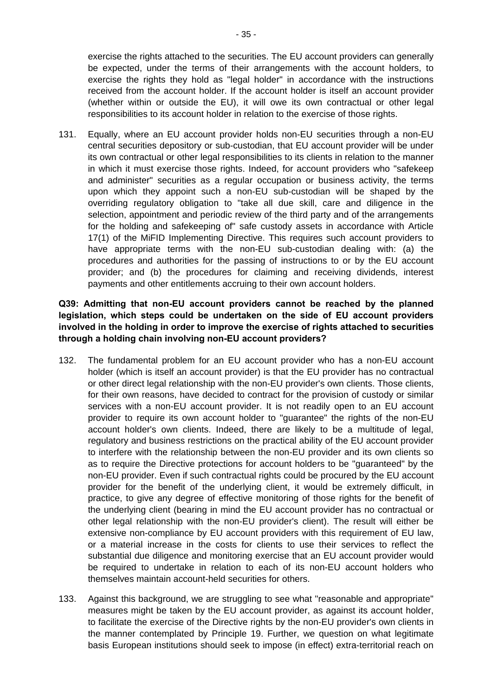exercise the rights attached to the securities. The EU account providers can generally be expected, under the terms of their arrangements with the account holders, to exercise the rights they hold as "legal holder" in accordance with the instructions received from the account holder. If the account holder is itself an account provider (whether within or outside the EU), it will owe its own contractual or other legal responsibilities to its account holder in relation to the exercise of those rights.

131. Equally, where an EU account provider holds non-EU securities through a non-EU central securities depository or sub-custodian, that EU account provider will be under its own contractual or other legal responsibilities to its clients in relation to the manner in which it must exercise those rights. Indeed, for account providers who "safekeep and administer" securities as a regular occupation or business activity, the terms upon which they appoint such a non-EU sub-custodian will be shaped by the overriding regulatory obligation to "take all due skill, care and diligence in the selection, appointment and periodic review of the third party and of the arrangements for the holding and safekeeping of" safe custody assets in accordance with Article 17(1) of the MiFID Implementing Directive. This requires such account providers to have appropriate terms with the non-EU sub-custodian dealing with: (a) the procedures and authorities for the passing of instructions to or by the EU account provider; and (b) the procedures for claiming and receiving dividends, interest payments and other entitlements accruing to their own account holders.

### **Q39: Admitting that non-EU account providers cannot be reached by the planned legislation, which steps could be undertaken on the side of EU account providers involved in the holding in order to improve the exercise of rights attached to securities through a holding chain involving non-EU account providers?**

- 132. The fundamental problem for an EU account provider who has a non-EU account holder (which is itself an account provider) is that the EU provider has no contractual or other direct legal relationship with the non-EU provider's own clients. Those clients, for their own reasons, have decided to contract for the provision of custody or similar services with a non-EU account provider. It is not readily open to an EU account provider to require its own account holder to "guarantee" the rights of the non-EU account holder's own clients. Indeed, there are likely to be a multitude of legal, regulatory and business restrictions on the practical ability of the EU account provider to interfere with the relationship between the non-EU provider and its own clients so as to require the Directive protections for account holders to be "guaranteed" by the non-EU provider. Even if such contractual rights could be procured by the EU account provider for the benefit of the underlying client, it would be extremely difficult, in practice, to give any degree of effective monitoring of those rights for the benefit of the underlying client (bearing in mind the EU account provider has no contractual or other legal relationship with the non-EU provider's client). The result will either be extensive non-compliance by EU account providers with this requirement of EU law, or a material increase in the costs for clients to use their services to reflect the substantial due diligence and monitoring exercise that an EU account provider would be required to undertake in relation to each of its non-EU account holders who themselves maintain account-held securities for others.
- 133. Against this background, we are struggling to see what "reasonable and appropriate" measures might be taken by the EU account provider, as against its account holder, to facilitate the exercise of the Directive rights by the non-EU provider's own clients in the manner contemplated by Principle 19. Further, we question on what legitimate basis European institutions should seek to impose (in effect) extra-territorial reach on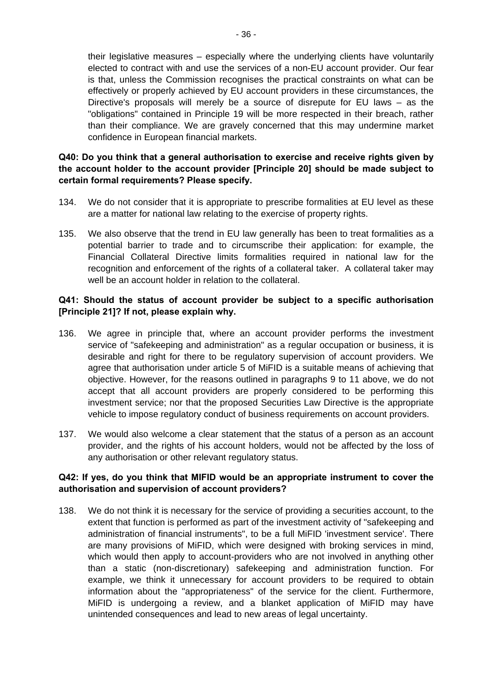their legislative measures – especially where the underlying clients have voluntarily elected to contract with and use the services of a non-EU account provider. Our fear is that, unless the Commission recognises the practical constraints on what can be effectively or properly achieved by EU account providers in these circumstances, the Directive's proposals will merely be a source of disrepute for EU laws – as the "obligations" contained in Principle 19 will be more respected in their breach, rather than their compliance. We are gravely concerned that this may undermine market confidence in European financial markets.

#### **Q40: Do you think that a general authorisation to exercise and receive rights given by the account holder to the account provider [Principle 20] should be made subject to certain formal requirements? Please specify.**

- 134. We do not consider that it is appropriate to prescribe formalities at EU level as these are a matter for national law relating to the exercise of property rights.
- 135. We also observe that the trend in EU law generally has been to treat formalities as a potential barrier to trade and to circumscribe their application: for example, the Financial Collateral Directive limits formalities required in national law for the recognition and enforcement of the rights of a collateral taker. A collateral taker may well be an account holder in relation to the collateral.

### **Q41: Should the status of account provider be subject to a specific authorisation [Principle 21]? If not, please explain why.**

- 136. We agree in principle that, where an account provider performs the investment service of "safekeeping and administration" as a regular occupation or business, it is desirable and right for there to be regulatory supervision of account providers. We agree that authorisation under article 5 of MiFID is a suitable means of achieving that objective. However, for the reasons outlined in paragraphs [9](#page-3-1) to [11](#page-3-0) above, we do not accept that all account providers are properly considered to be performing this investment service; nor that the proposed Securities Law Directive is the appropriate vehicle to impose regulatory conduct of business requirements on account providers.
- 137. We would also welcome a clear statement that the status of a person as an account provider, and the rights of his account holders, would not be affected by the loss of any authorisation or other relevant regulatory status.

#### **Q42: If yes, do you think that MIFID would be an appropriate instrument to cover the authorisation and supervision of account providers?**

138. We do not think it is necessary for the service of providing a securities account, to the extent that function is performed as part of the investment activity of "safekeeping and administration of financial instruments", to be a full MiFID 'investment service'. There are many provisions of MiFID, which were designed with broking services in mind, which would then apply to account-providers who are not involved in anything other than a static (non-discretionary) safekeeping and administration function. For example, we think it unnecessary for account providers to be required to obtain information about the "appropriateness" of the service for the client. Furthermore, MiFID is undergoing a review, and a blanket application of MiFID may have unintended consequences and lead to new areas of legal uncertainty.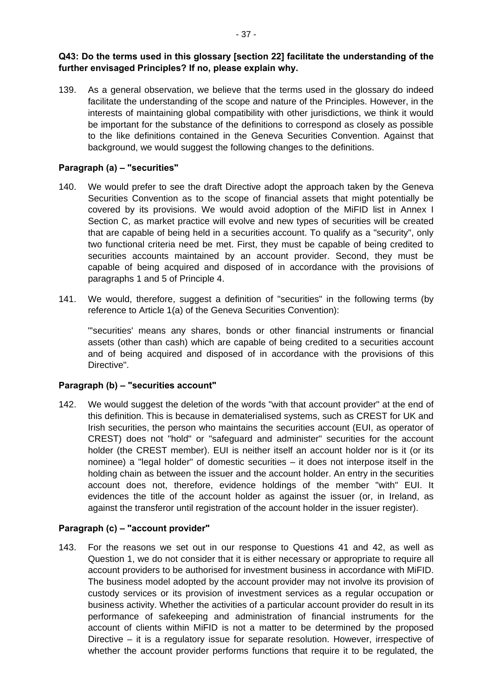139. As a general observation, we believe that the terms used in the glossary do indeed facilitate the understanding of the scope and nature of the Principles. However, in the interests of maintaining global compatibility with other jurisdictions, we think it would be important for the substance of the definitions to correspond as closely as possible to the like definitions contained in the Geneva Securities Convention. Against that background, we would suggest the following changes to the definitions.

### **Paragraph (a) – "securities"**

- 140. We would prefer to see the draft Directive adopt the approach taken by the Geneva Securities Convention as to the scope of financial assets that might potentially be covered by its provisions. We would avoid adoption of the MiFID list in Annex I Section C, as market practice will evolve and new types of securities will be created that are capable of being held in a securities account. To qualify as a "security", only two functional criteria need be met. First, they must be capable of being credited to securities accounts maintained by an account provider. Second, they must be capable of being acquired and disposed of in accordance with the provisions of paragraphs 1 and 5 of Principle 4.
- 141. We would, therefore, suggest a definition of "securities" in the following terms (by reference to Article 1(a) of the Geneva Securities Convention):

"'securities' means any shares, bonds or other financial instruments or financial assets (other than cash) which are capable of being credited to a securities account and of being acquired and disposed of in accordance with the provisions of this Directive".

#### **Paragraph (b) – "securities account"**

142. We would suggest the deletion of the words "with that account provider" at the end of this definition. This is because in dematerialised systems, such as CREST for UK and Irish securities, the person who maintains the securities account (EUI, as operator of CREST) does not "hold" or "safeguard and administer" securities for the account holder (the CREST member). EUI is neither itself an account holder nor is it (or its nominee) a "legal holder" of domestic securities – it does not interpose itself in the holding chain as between the issuer and the account holder. An entry in the securities account does not, therefore, evidence holdings of the member "with" EUI. It evidences the title of the account holder as against the issuer (or, in Ireland, as against the transferor until registration of the account holder in the issuer register).

# **Paragraph (c) – "account provider"**

143. For the reasons we set out in our response to Questions 41 and 42, as well as Question 1, we do not consider that it is either necessary or appropriate to require all account providers to be authorised for investment business in accordance with MiFID. The business model adopted by the account provider may not involve its provision of custody services or its provision of investment services as a regular occupation or business activity. Whether the activities of a particular account provider do result in its performance of safekeeping and administration of financial instruments for the account of clients within MiFID is not a matter to be determined by the proposed Directive – it is a regulatory issue for separate resolution. However, irrespective of whether the account provider performs functions that require it to be regulated, the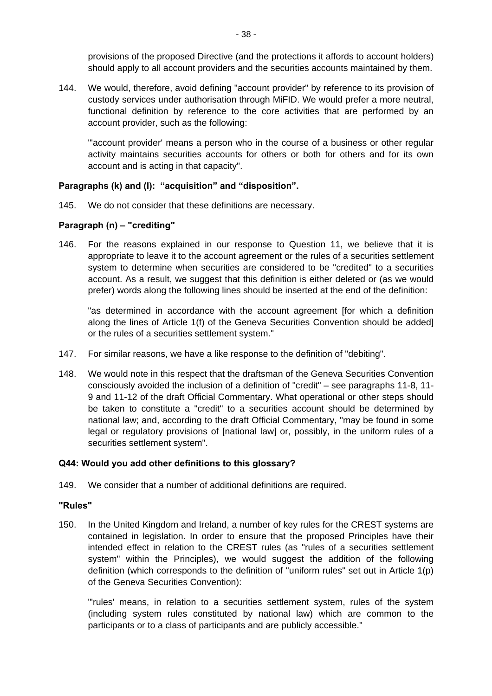provisions of the proposed Directive (and the protections it affords to account holders) should apply to all account providers and the securities accounts maintained by them.

144. We would, therefore, avoid defining "account provider" by reference to its provision of custody services under authorisation through MiFID. We would prefer a more neutral, functional definition by reference to the core activities that are performed by an account provider, such as the following:

"'account provider' means a person who in the course of a business or other regular activity maintains securities accounts for others or both for others and for its own account and is acting in that capacity".

### **Paragraphs (k) and (l): "acquisition" and "disposition".**

145. We do not consider that these definitions are necessary.

# **Paragraph (n) – "crediting"**

146. For the reasons explained in our response to Question 11, we believe that it is appropriate to leave it to the account agreement or the rules of a securities settlement system to determine when securities are considered to be "credited" to a securities account. As a result, we suggest that this definition is either deleted or (as we would prefer) words along the following lines should be inserted at the end of the definition:

"as determined in accordance with the account agreement [for which a definition along the lines of Article 1(f) of the Geneva Securities Convention should be added] or the rules of a securities settlement system."

- 147. For similar reasons, we have a like response to the definition of "debiting".
- 148. We would note in this respect that the draftsman of the Geneva Securities Convention consciously avoided the inclusion of a definition of "credit" – see paragraphs 11-8, 11- 9 and 11-12 of the draft Official Commentary. What operational or other steps should be taken to constitute a "credit" to a securities account should be determined by national law; and, according to the draft Official Commentary, "may be found in some legal or regulatory provisions of [national law] or, possibly, in the uniform rules of a securities settlement system".

# **Q44: Would you add other definitions to this glossary?**

149. We consider that a number of additional definitions are required.

#### **"Rules"**

150. In the United Kingdom and Ireland, a number of key rules for the CREST systems are contained in legislation. In order to ensure that the proposed Principles have their intended effect in relation to the CREST rules (as "rules of a securities settlement system" within the Principles), we would suggest the addition of the following definition (which corresponds to the definition of "uniform rules" set out in Article 1(p) of the Geneva Securities Convention):

"'rules' means, in relation to a securities settlement system, rules of the system (including system rules constituted by national law) which are common to the participants or to a class of participants and are publicly accessible."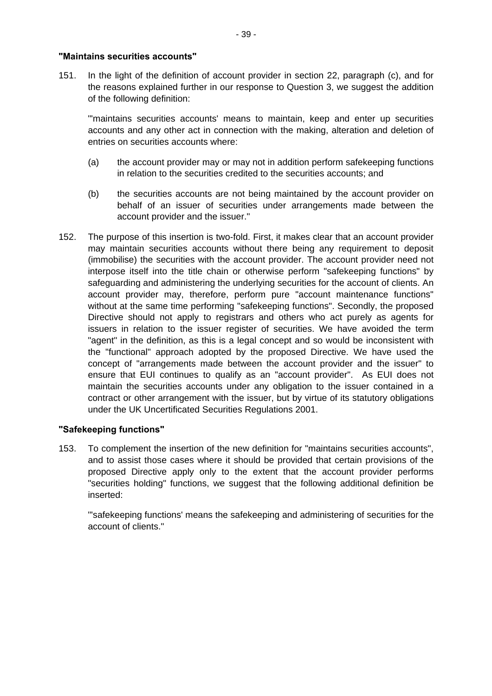#### **"Maintains securities accounts"**

151. In the light of the definition of account provider in section 22, paragraph (c), and for the reasons explained further in our response to Question 3, we suggest the addition of the following definition:

"'maintains securities accounts' means to maintain, keep and enter up securities accounts and any other act in connection with the making, alteration and deletion of entries on securities accounts where:

- (a) the account provider may or may not in addition perform safekeeping functions in relation to the securities credited to the securities accounts; and
- (b) the securities accounts are not being maintained by the account provider on behalf of an issuer of securities under arrangements made between the account provider and the issuer."
- 152. The purpose of this insertion is two-fold. First, it makes clear that an account provider may maintain securities accounts without there being any requirement to deposit (immobilise) the securities with the account provider. The account provider need not interpose itself into the title chain or otherwise perform "safekeeping functions" by safeguarding and administering the underlying securities for the account of clients. An account provider may, therefore, perform pure "account maintenance functions" without at the same time performing "safekeeping functions". Secondly, the proposed Directive should not apply to registrars and others who act purely as agents for issuers in relation to the issuer register of securities. We have avoided the term "agent" in the definition, as this is a legal concept and so would be inconsistent with the "functional" approach adopted by the proposed Directive. We have used the concept of "arrangements made between the account provider and the issuer" to ensure that EUI continues to qualify as an "account provider". As EUI does not maintain the securities accounts under any obligation to the issuer contained in a contract or other arrangement with the issuer, but by virtue of its statutory obligations under the UK Uncertificated Securities Regulations 2001.

#### **"Safekeeping functions"**

153. To complement the insertion of the new definition for "maintains securities accounts", and to assist those cases where it should be provided that certain provisions of the proposed Directive apply only to the extent that the account provider performs "securities holding" functions, we suggest that the following additional definition be inserted:

"'safekeeping functions' means the safekeeping and administering of securities for the account of clients."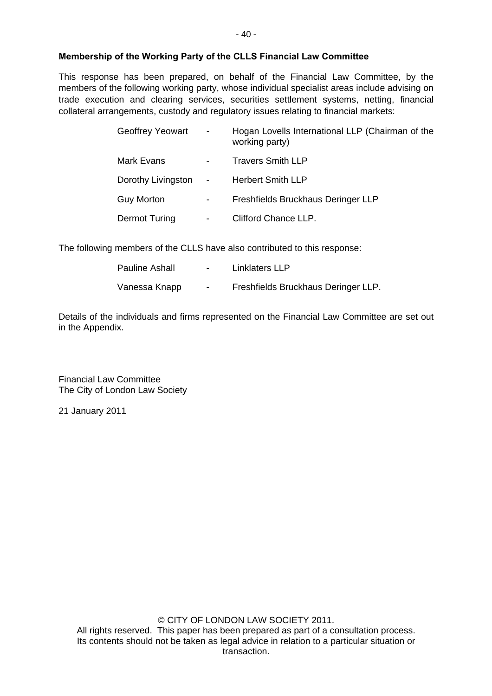This response has been prepared, on behalf of the Financial Law Committee, by the members of the following working party, whose individual specialist areas include advising on trade execution and clearing services, securities settlement systems, netting, financial collateral arrangements, custody and regulatory issues relating to financial markets:

| Geoffrey Yeowart     | $\blacksquare$           | Hogan Lovells International LLP (Chairman of the<br>working party) |
|----------------------|--------------------------|--------------------------------------------------------------------|
| Mark Evans           | $\blacksquare$           | <b>Travers Smith LLP</b>                                           |
| Dorothy Livingston - |                          | <b>Herbert Smith LLP</b>                                           |
| <b>Guy Morton</b>    | $\overline{\phantom{a}}$ | Freshfields Bruckhaus Deringer LLP                                 |
| Dermot Turing        | $\blacksquare$           | Clifford Chance LLP.                                               |

The following members of the CLLS have also contributed to this response:

| <b>Pauline Ashall</b> | $\sim$ | Linklaters LLP                      |
|-----------------------|--------|-------------------------------------|
| Vanessa Knapp         | $\sim$ | Freshfields Bruckhaus Deringer LLP. |

Details of the individuals and firms represented on the Financial Law Committee are set out in the Appendix.

Financial Law Committee The City of London Law Society

21 January 2011